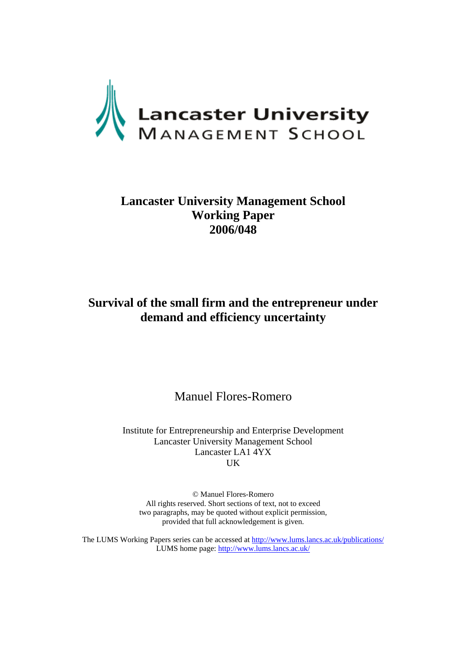

# **Lancaster University Management School Working Paper 2006/048**

# **Survival of the small firm and the entrepreneur under demand and efficiency uncertainty**

Manuel Flores-Romero

Institute for Entrepreneurship and Enterprise Development Lancaster University Management School Lancaster LA1 4YX UK

© Manuel Flores-Romero All rights reserved. Short sections of text, not to exceed two paragraphs, may be quoted without explicit permission, provided that full acknowledgement is given.

The LUMS Working Papers series can be accessed at<http://www.lums.lancs.ac.uk/publications/> LUMS home page: <http://www.lums.lancs.ac.uk/>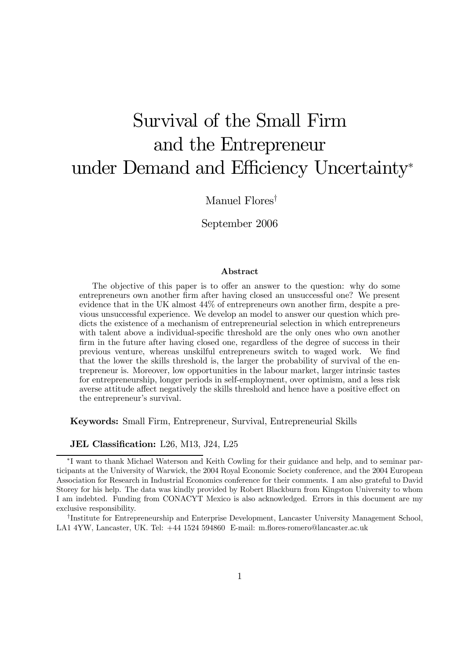# Survival of the Small Firm and the Entrepreneur under Demand and Efficiency Uncertainty\*

Manuel Flores<sup>†</sup>

September 2006

### Abstract

The objective of this paper is to offer an answer to the question: why do some entrepreneurs own another firm after having closed an unsuccessful one? We present evidence that in the UK almost 44% of entrepreneurs own another firm, despite a previous unsuccessful experience. We develop an model to answer our question which predicts the existence of a mechanism of entrepreneurial selection in which entrepreneurs with talent above a individual-specific threshold are the only ones who own another firm in the future after having closed one, regardless of the degree of success in their previous venture, whereas unskilful entrepreneurs switch to waged work. We find that the lower the skills threshold is, the larger the probability of survival of the entrepreneur is. Moreover, low opportunities in the labour market, larger intrinsic tastes for entrepreneurship, longer periods in self-employment, over optimism, and a less risk averse attitude affect negatively the skills threshold and hence have a positive effect on the entrepreneur's survival.

Keywords: Small Firm, Entrepreneur, Survival, Entrepreneurial Skills

JEL Classification: L26, M13, J24, L25

<sup>†</sup>Institute for Entrepreneurship and Enterprise Development, Lancaster University Management School, LA1 4YW, Lancaster, UK. Tel: +44 1524 594860 E-mail: m.flores-romero@lancaster.ac.uk

<sup>\*</sup>I want to thank Michael Waterson and Keith Cowling for their guidance and help, and to seminar participants at the University of Warwick, the 2004 Royal Economic Society conference, and the 2004 European Association for Research in Industrial Economics conference for their comments. I am also grateful to David Storey for his help. The data was kindly provided by Robert Blackburn from Kingston University to whom I am indebted. Funding from CONACYT Mexico is also acknowledged. Errors in this document are my exclusive responsibility.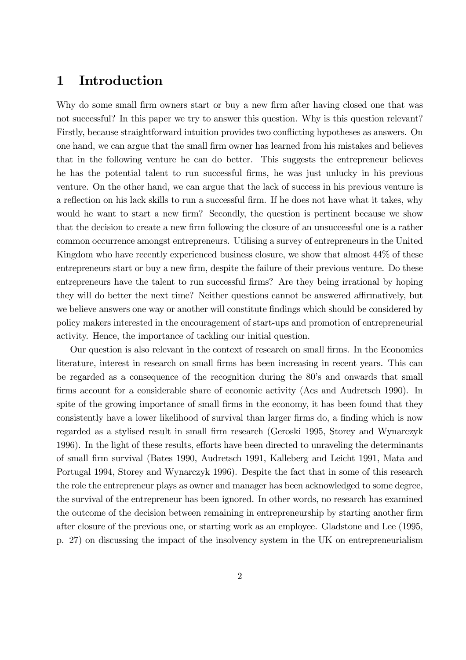#### Introduction  $\mathbf{1}$

Why do some small firm owners start or buy a new firm after having closed one that was not successful? In this paper we try to answer this question. Why is this question relevant? Firstly, because straightforward intuition provides two conflicting hypotheses as answers. On one hand, we can argue that the small firm owner has learned from his mistakes and believes that in the following venture he can do better. This suggests the entrepreneur believes he has the potential talent to run successful firms, he was just unlucky in his previous venture. On the other hand, we can argue that the lack of success in his previous venture is a reflection on his lack skills to run a successful firm. If he does not have what it takes, why would be want to start a new firm? Secondly, the question is pertinent because we show that the decision to create a new firm following the closure of an unsuccessful one is a rather common occurrence amongst entrepreneurs. Utilising a survey of entrepreneurs in the United Kingdom who have recently experienced business closure, we show that almost 44\% of these entrepreneurs start or buy a new firm, despite the failure of their previous venture. Do these entrepreneurs have the talent to run successful firms? Are they being irrational by hoping they will do better the next time? Neither questions cannot be answered affirmatively, but we believe answers one way or another will constitute findings which should be considered by policy makers interested in the encouragement of start-ups and promotion of entrepreneurial activity. Hence, the importance of tackling our initial question.

Our question is also relevant in the context of research on small firms. In the Economics literature, interest in research on small firms has been increasing in recent years. This can be regarded as a consequence of the recognition during the 80's and onwards that small firms account for a considerable share of economic activity (Acs and Audretsch 1990). In spite of the growing importance of small firms in the economy, it has been found that they consistently have a lower likelihood of survival than larger firms do, a finding which is now regarded as a stylised result in small firm research (Geroski 1995, Storey and Wynarczyk 1996). In the light of these results, efforts have been directed to unraveling the determinants of small firm survival (Bates 1990, Audretsch 1991, Kalleberg and Leicht 1991, Mata and Portugal 1994, Storey and Wynarczyk 1996). Despite the fact that in some of this research the role the entrepreneur plays as owner and manager has been acknowledged to some degree, the survival of the entrepreneur has been ignored. In other words, no research has examined the outcome of the decision between remaining in entrepreneurship by starting another firm after closure of the previous one, or starting work as an employee. Gladstone and Lee (1995, p. 27) on discussing the impact of the insolvency system in the UK on entrepreneurialism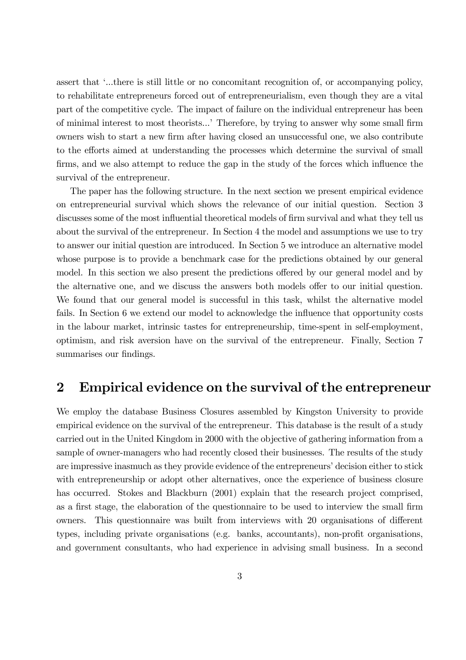assert that '...there is still little or no concomitant recognition of, or accompanying policy, to rehabilitate entrepreneurs forced out of entrepreneurialism, even though they are a vital part of the competitive cycle. The impact of failure on the individual entrepreneur has been of minimal interest to most theorists...' Therefore, by trying to answer why some small firm owners wish to start a new firm after having closed an unsuccessful one, we also contribute to the efforts aimed at understanding the processes which determine the survival of small firms, and we also attempt to reduce the gap in the study of the forces which influence the survival of the entrepreneur.

The paper has the following structure. In the next section we present empirical evidence on entrepreneurial survival which shows the relevance of our initial question. Section 3 discusses some of the most influential theoretical models of firm survival and what they tell us about the survival of the entrepreneur. In Section 4 the model and assumptions we use to try to answer our initial question are introduced. In Section 5 we introduce an alternative model whose purpose is to provide a benchmark case for the predictions obtained by our general model. In this section we also present the predictions offered by our general model and by the alternative one, and we discuss the answers both models offer to our initial question. We found that our general model is successful in this task, whilst the alternative model fails. In Section 6 we extend our model to acknowledge the influence that opportunity costs in the labour market, intrinsic tastes for entrepreneurship, time-spent in self-employment, optimism, and risk aversion have on the survival of the entrepreneur. Finally, Section 7 summarises our findings.

#### Empirical evidence on the survival of the entrepreneur  $\boldsymbol{2}$

We employ the database Business Closures assembled by Kingston University to provide empirical evidence on the survival of the entrepreneur. This database is the result of a study carried out in the United Kingdom in 2000 with the objective of gathering information from a sample of owner-managers who had recently closed their businesses. The results of the study are impressive inasmuch as they provide evidence of the entrepreneurs' decision either to stick with entrepreneurship or adopt other alternatives, once the experience of business closure has occurred. Stokes and Blackburn (2001) explain that the research project comprised, as a first stage, the elaboration of the questionnaire to be used to interview the small firm owners. This questionnaire was built from interviews with 20 organisations of different types, including private organisations (e.g. banks, accountants), non-profit organisations, and government consultants, who had experience in advising small business. In a second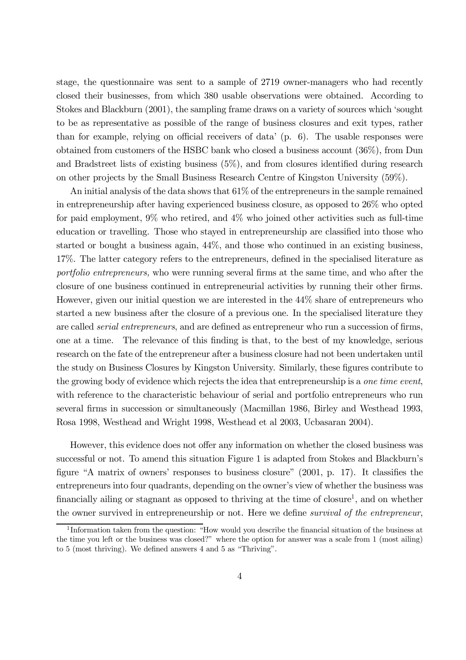stage, the questionnaire was sent to a sample of 2719 owner-managers who had recently closed their businesses, from which 380 usable observations were obtained. According to Stokes and Blackburn (2001), the sampling frame draws on a variety of sources which 'sought to be as representative as possible of the range of business closures and exit types, rather than for example, relying on official receivers of data'  $(p, 6)$ . The usable responses were obtained from customers of the HSBC bank who closed a business account  $(36\%)$ , from Dun and Bradstreet lists of existing business  $(5\%)$ , and from closures identified during research on other projects by the Small Business Research Centre of Kingston University (59%).

An initial analysis of the data shows that  $61\%$  of the entrepreneurs in the sample remained in entrepreneurship after having experienced business closure, as opposed to 26% who opted for paid employment,  $9\%$  who retired, and  $4\%$  who joined other activities such as full-time education or travelling. Those who stayed in entrepreneurship are classified into those who started or bought a business again,  $44\%$ , and those who continued in an existing business, 17%. The latter category refers to the entrepreneurs, defined in the specialised literature as *portfolio entrepreneurs*, who were running several firms at the same time, and who after the closure of one business continued in entrepreneurial activities by running their other firms. However, given our initial question we are interested in the 44% share of entrepreneurs who started a new business after the closure of a previous one. In the specialised literature they are called *serial entrepreneurs*, and are defined as entrepreneur who run a succession of firms, one at a time. The relevance of this finding is that, to the best of my knowledge, serious research on the fate of the entrepreneur after a business closure had not been undertaken until the study on Business Closures by Kingston University. Similarly, these figures contribute to the growing body of evidence which rejects the idea that entrepreneurship is a one time event, with reference to the characteristic behaviour of serial and portfolio entrepreneurs who run several firms in succession or simultaneously (Macmillan 1986, Birley and Westhead 1993, Rosa 1998, Westhead and Wright 1998, Westhead et al 2003, Ucbasaran 2004).

However, this evidence does not offer any information on whether the closed business was successful or not. To amend this situation Figure 1 is adapted from Stokes and Blackburn's figure "A matrix of owners' responses to business closure" (2001, p. 17). It classifies the entrepreneurs into four quadrants, depending on the owner's view of whether the business was financially ailing or stagnant as opposed to thriving at the time of closure<sup>1</sup>, and on whether the owner survived in entrepreneurship or not. Here we define survival of the entrepreneur,

 $1$ Information taken from the question: "How would you describe the financial situation of the business at the time you left or the business was closed?" where the option for answer was a scale from 1 (most ailing) to  $5 \text{ (most throwing)}$ . We defined answers  $4 \text{ and } 5 \text{ as "Thriving".}$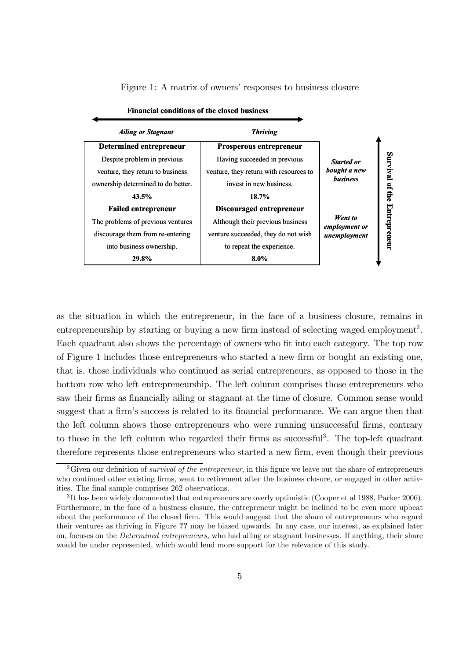| <b>Financial conditions of the closed business</b> |                                        |                                                      |                     |
|----------------------------------------------------|----------------------------------------|------------------------------------------------------|---------------------|
| <b>Ailing or Stagnant</b>                          | <b>Thriving</b>                        |                                                      |                     |
| <b>Determined entrepreneur</b>                     | Prosperous entrepreneur                |                                                      |                     |
| Despite problem in previous                        | Having succeeded in previous           | <b>Started or</b><br>bought a new<br><b>business</b> |                     |
| venture, they return to business                   | venture, they return with resources to |                                                      | Survival            |
| ownership determined to do better.                 | invest in new business.                |                                                      | of the              |
| 43.5%                                              | 18.7%                                  |                                                      |                     |
| <b>Failed entrepreneur</b>                         | Discouraged entrepreneur               |                                                      |                     |
| The problems of previous ventures                  | Although their previous business       | Went to<br>employment or<br>unemployment             |                     |
| discourage them from re-entering                   | venture succeeded, they do not wish    |                                                      | <b>Entrepreneur</b> |
| into business ownership.                           | to repeat the experience.              |                                                      |                     |
| 29.8%                                              | 8.0%                                   |                                                      |                     |

Figure 1: A matrix of owners' responses to business closure

as the situation in which the entrepreneur, in the face of a business closure, remains in entrepreneurship by starting or buying a new firm instead of selecting waged employment<sup>2</sup>. Each quadrant also shows the percentage of owners who fit into each category. The top row of Figure 1 includes those entrepreneurs who started a new firm or bought an existing one, that is, those individuals who continued as serial entrepreneurs, as opposed to those in the bottom row who left entrepreneurship. The left column comprises those entrepreneurs who saw their firms as financially ailing or stagnant at the time of closure. Common sense would suggest that a firm's success is related to its financial performance. We can argue then that the left column shows those entrepreneurs who were running unsuccessful firms, contrary to those in the left column who regarded their firms as successful<sup>3</sup>. The top-left quadrant therefore represents those entrepreneurs who started a new firm, even though their previous

<sup>&</sup>lt;sup>2</sup>Given our definition of *survival of the entrepreneur*, in this figure we leave out the share of entrepreneurs who continued other existing firms, went to retirement after the business closure, or engaged in other activities. The final sample comprises 262 observations.

 ${}^{3}$ It has been widely documented that entrepreneurs are overly optimistic (Cooper et al 1988, Parker 2006). Furthermore, in the face of a business closure, the entrepreneur might be inclined to be even more upbeat about the performance of the closed firm. This would suggest that the share of entrepreneurs who regard their ventures as thriving in Figure ?? may be biased upwards. In any case, our interest, as explained later on, focuses on the *Determined entrepreneurs*, who had ailing or stagnant businesses. If anything, their share would be under represented, which would lend more support for the relevance of this study.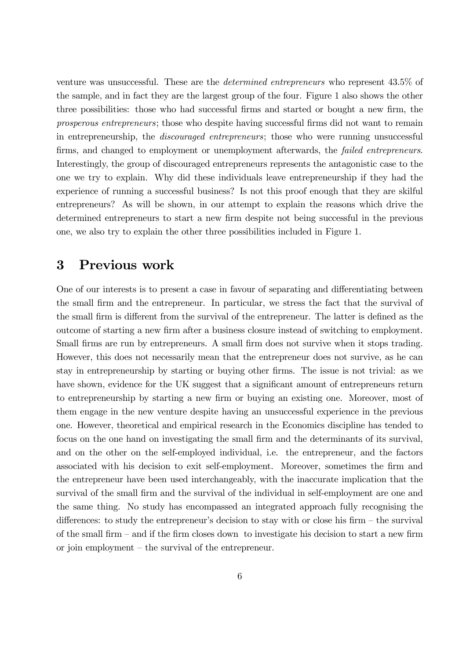venture was unsuccessful. These are the *determined entrepreneurs* who represent 43.5% of the sample, and in fact they are the largest group of the four. Figure 1 also shows the other three possibilities: those who had successful firms and started or bought a new firm, the *prosperous entrepreneurs*; those who despite having successful firms did not want to remain in entrepreneurship, the *discouraged entrepreneurs*; those who were running unsuccessful firms, and changed to employment or unemployment afterwards, the *failed entrepreneurs*. Interestingly, the group of discouraged entrepreneurs represents the antagonistic case to the one we try to explain. Why did these individuals leave entrepreneurship if they had the experience of running a successful business? Is not this proof enough that they are skilful entrepreneurs? As will be shown, in our attempt to explain the reasons which drive the determined entrepreneurs to start a new firm despite not being successful in the previous one, we also try to explain the other three possibilities included in Figure 1.

#### Previous work  $\bf{3}$

One of our interests is to present a case in favour of separating and differentiating between the small firm and the entrepreneur. In particular, we stress the fact that the survival of the small firm is different from the survival of the entrepreneur. The latter is defined as the outcome of starting a new firm after a business closure instead of switching to employment. Small firms are run by entrepreneurs. A small firm does not survive when it stops trading. However, this does not necessarily mean that the entrepreneur does not survive, as he can stay in entrepreneurship by starting or buying other firms. The issue is not trivial: as we have shown, evidence for the UK suggest that a significant amount of entrepreneurs return to entrepreneurship by starting a new firm or buying an existing one. Moreover, most of them engage in the new venture despite having an unsuccessful experience in the previous one. However, theoretical and empirical research in the Economics discipline has tended to focus on the one hand on investigating the small firm and the determinants of its survival, and on the other on the self-employed individual, i.e. the entrepreneur, and the factors associated with his decision to exit self-employment. Moreover, sometimes the firm and the entrepreneur have been used interchangeably, with the inaccurate implication that the survival of the small firm and the survival of the individual in self-employment are one and the same thing. No study has encompassed an integrated approach fully recognising the differences: to study the entrepreneur's decision to stay with or close his firm  $-$  the survival of the small firm  $-$  and if the firm closes down to investigate his decision to start a new firm or join employment  $-$  the survival of the entrepreneur.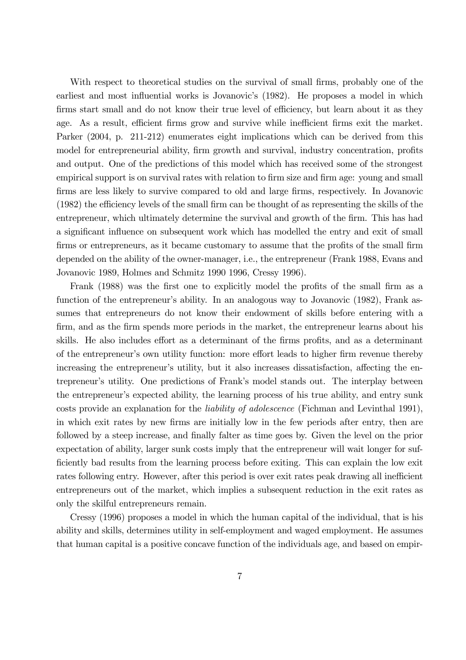With respect to theoretical studies on the survival of small firms, probably one of the earliest and most influential works is Jovanovic's (1982). He proposes a model in which firms start small and do not know their true level of efficiency, but learn about it as they age. As a result, efficient firms grow and survive while inefficient firms exit the market. Parker (2004, p. 211-212) enumerates eight implications which can be derived from this model for entrepreneurial ability, firm growth and survival, industry concentration, profits and output. One of the predictions of this model which has received some of the strongest empirical support is on survival rates with relation to firm size and firm age: young and small firms are less likely to survive compared to old and large firms, respectively. In Jovanovic (1982) the efficiency levels of the small firm can be thought of as representing the skills of the entrepreneur, which ultimately determine the survival and growth of the firm. This has had a significant influence on subsequent work which has modelled the entry and exit of small firms or entrepreneurs, as it became customary to assume that the profits of the small firm depended on the ability of the owner-manager, i.e., the entrepreneur (Frank 1988, Evans and Jovanovic 1989, Holmes and Schmitz 1990 1996, Cressy 1996).

Frank (1988) was the first one to explicitly model the profits of the small firm as a function of the entrepreneur's ability. In an analogous way to Jovanovic (1982), Frank assumes that entrepreneurs do not know their endowment of skills before entering with a firm, and as the firm spends more periods in the market, the entrepreneur learns about his skills. He also includes effort as a determinant of the firms profits, and as a determinant of the entrepreneur's own utility function: more effort leads to higher firm revenue thereby increasing the entrepreneur's utility, but it also increases dissatisfaction, affecting the entrepreneur's utility. One predictions of Frank's model stands out. The interplay between the entrepreneur's expected ability, the learning process of his true ability, and entry sunk costs provide an explanation for the *liability of adolescence* (Fichman and Levinthal 1991), in which exit rates by new firms are initially low in the few periods after entry, then are followed by a steep increase, and finally falter as time goes by. Given the level on the prior expectation of ability, larger sunk costs imply that the entrepreneur will wait longer for sufficiently bad results from the learning process before exiting. This can explain the low exit rates following entry. However, after this period is over exit rates peak drawing all inefficient entrepreneurs out of the market, which implies a subsequent reduction in the exit rates as only the skilful entrepreneurs remain.

Cressy (1996) proposes a model in which the human capital of the individual, that is his ability and skills, determines utility in self-employment and waged employment. He assumes that human capital is a positive concave function of the individuals age, and based on empir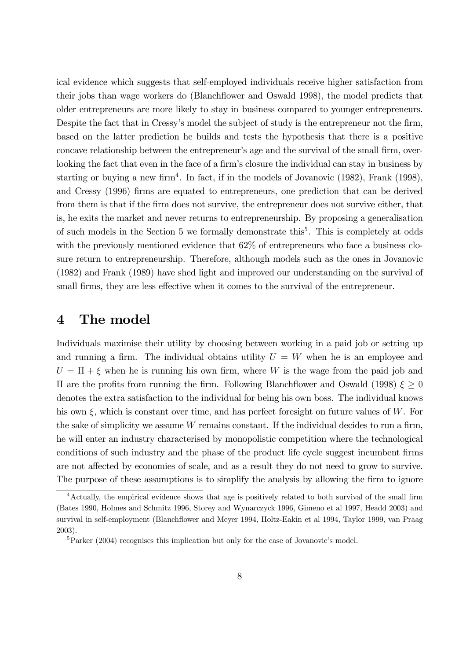ical evidence which suggests that self-employed individuals receive higher satisfaction from their jobs than wage workers do (Blanchflower and Oswald 1998), the model predicts that older entrepreneurs are more likely to stay in business compared to younger entrepreneurs. Despite the fact that in Cressy's model the subject of study is the entrepreneur not the firm, based on the latter prediction he builds and tests the hypothesis that there is a positive concave relationship between the entrepreneur's age and the survival of the small firm, overlooking the fact that even in the face of a firm's closure the individual can stay in business by starting or buying a new firm<sup>4</sup>. In fact, if in the models of Jovanovic  $(1982)$ , Frank  $(1998)$ , and Cressy (1996) firms are equated to entrepreneurs, one prediction that can be derived from them is that if the firm does not survive, the entrepreneur does not survive either, that is, he exits the market and never returns to entrepreneurship. By proposing a generalisation of such models in the Section 5 we formally demonstrate this<sup>5</sup>. This is completely at odds with the previously mentioned evidence that  $62\%$  of entrepreneurs who face a business closure return to entrepreneurship. Therefore, although models such as the ones in Jovanovic (1982) and Frank (1989) have shed light and improved our understanding on the survival of small firms, they are less effective when it comes to the survival of the entrepreneur.

#### $\boldsymbol{4}$ The model

Individuals maximise their utility by choosing between working in a paid job or setting up and running a firm. The individual obtains utility  $U = W$  when he is an employee and  $U = \Pi + \xi$  when he is running his own firm, where W is the wage from the paid job and  $\Pi$  are the profits from running the firm. Following Blanchflower and Oswald (1998)  $\xi \geq 0$ denotes the extra satisfaction to the individual for being his own boss. The individual knows his own  $\xi$ , which is constant over time, and has perfect foresight on future values of W. For the sake of simplicity we assume  $W$  remains constant. If the individual decides to run a firm, he will enter an industry characterised by monopolistic competition where the technological conditions of such industry and the phase of the product life cycle suggest incumbent firms are not affected by economies of scale, and as a result they do not need to grow to survive. The purpose of these assumptions is to simplify the analysis by allowing the firm to ignore

 $4$ Actually, the empirical evidence shows that age is positively related to both survival of the small firm (Bates 1990, Holmes and Schmitz 1996, Storey and Wynarczyck 1996, Gimeno et al 1997, Headd 2003) and survival in self-employment (Blanchflower and Mever 1994, Holtz-Eakin et al 1994, Taylor 1999, van Praag  $2003$ ).

 ${}^{5}$ Parker (2004) recognises this implication but only for the case of Jovanovic's model.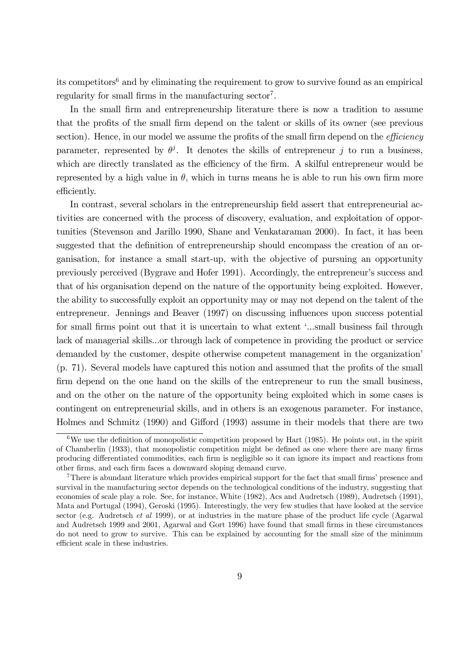its competitors<sup>6</sup> and by eliminating the requirement to grow to survive found as an empirical regularity for small firms in the manufacturing sector<sup>7</sup>.

In the small firm and entrepreneurship literature there is now a tradition to assume that the profits of the small firm depend on the talent or skills of its owner (see previous section). Hence, in our model we assume the profits of the small firm depend on the *efficiency* parameter, represented by  $\theta^j$ . It denotes the skills of entrepreneur j to run a business, which are directly translated as the efficiency of the firm. A skilful entrepreneur would be represented by a high value in  $\theta$ , which in turns means he is able to run his own firm more efficiently.

In contrast, several scholars in the entrepreneurship field assert that entrepreneurial activities are concerned with the process of discovery, evaluation, and exploitation of opportunities (Stevenson and Jarillo 1990, Shane and Venkataraman 2000). In fact, it has been suggested that the definition of entrepreneurship should encompass the creation of an organisation, for instance a small start-up, with the objective of pursuing an opportunity previously perceived (Bygrave and Hofer 1991). Accordingly, the entrepreneur's success and that of his organisation depend on the nature of the opportunity being exploited. However, the ability to successfully exploit an opportunity may or may not depend on the talent of the entrepreneur. Jennings and Beaver (1997) on discussing influences upon success potential for small firms point out that it is uncertain to what extent '...small business fail through lack of managerial skills...or through lack of competence in providing the product or service demanded by the customer, despite otherwise competent management in the organization' (p. 71). Several models have captured this notion and assumed that the profits of the small firm depend on the one hand on the skills of the entrepreneur to run the small business, and on the other on the nature of the opportunity being exploited which in some cases is contingent on entrepreneurial skills, and in others is an exogenous parameter. For instance, Holmes and Schmitz (1990) and Gifford (1993) assume in their models that there are two

<sup>&</sup>lt;sup>6</sup>We use the definition of monopolistic competition proposed by Hart (1985). He points out, in the spirit of Chamberlin (1933), that monopolistic competition might be defined as one where there are many firms producing differentiated commodities, each firm is negligible so it can ignore its impact and reactions from other firms, and each firm faces a downward sloping demand curve.

<sup>&</sup>lt;sup>7</sup>There is abundant literature which provides empirical support for the fact that small firms' presence and survival in the manufacturing sector depends on the technological conditions of the industry, suggesting that economies of scale play a role. See, for instance, White (1982), Acs and Audretsch (1989), Audretsch (1991), Mata and Portugal (1994), Geroski (1995). Interestingly, the very few studies that have looked at the service sector (e.g. Audretsch et al 1999), or at industries in the mature phase of the product life cycle (Agarwal and Audretsch 1999 and 2001, Agarwal and Gort 1996) have found that small firms in these circumstances do not need to grow to survive. This can be explained by accounting for the small size of the minimum efficient scale in these industries.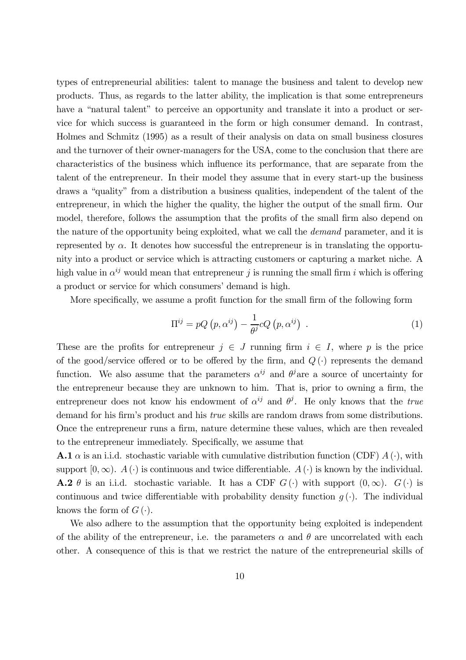types of entrepreneurial abilities: talent to manage the business and talent to develop new products. Thus, as regards to the latter ability, the implication is that some entrepreneurs have a "natural talent" to perceive an opportunity and translate it into a product or service for which success is guaranteed in the form or high consumer demand. In contrast, Holmes and Schmitz (1995) as a result of their analysis on data on small business closures and the turnover of their owner-managers for the USA, come to the conclusion that there are characteristics of the business which influence its performance, that are separate from the talent of the entrepreneur. In their model they assume that in every start-up the business draws a "quality" from a distribution a business qualities, independent of the talent of the entrepreneur, in which the higher the quality, the higher the output of the small firm. Our model, therefore, follows the assumption that the profits of the small firm also depend on the nature of the opportunity being exploited, what we call the *demand* parameter, and it is represented by  $\alpha$ . It denotes how successful the entrepreneur is in translating the opportunity into a product or service which is attracting customers or capturing a market niche. A high value in  $\alpha^{ij}$  would mean that entrepreneur j is running the small firm i which is offering a product or service for which consumers' demand is high.

More specifically, we assume a profit function for the small firm of the following form

$$
\Pi^{ij} = pQ\left(p, \alpha^{ij}\right) - \frac{1}{\theta^{j}}cQ\left(p, \alpha^{ij}\right) \tag{1}
$$

These are the profits for entrepreneur  $j \in J$  running firm  $i \in I$ , where p is the price of the good/service offered or to be offered by the firm, and  $Q(\cdot)$  represents the demand function. We also assume that the parameters  $\alpha^{ij}$  and  $\theta^j$  are a source of uncertainty for the entrepreneur because they are unknown to him. That is, prior to owning a firm, the entrepreneur does not know his endowment of  $\alpha^{ij}$  and  $\theta^j$ . He only knows that the true demand for his firm's product and his *true* skills are random draws from some distributions. Once the entrepreneur runs a firm, nature determine these values, which are then revealed to the entrepreneur immediately. Specifically, we assume that

**A.1**  $\alpha$  is an i.i.d. stochastic variable with cumulative distribution function (CDF)  $A(\cdot)$ , with support  $[0, \infty)$ .  $A(\cdot)$  is continuous and twice differentiable.  $A(\cdot)$  is known by the individual. **A.2**  $\theta$  is an i.i.d. stochastic variable. It has a CDF  $G(\cdot)$  with support  $(0, \infty)$ .  $G(\cdot)$  is continuous and twice differentiable with probability density function  $q(\cdot)$ . The individual knows the form of  $G(\cdot)$ .

We also adhere to the assumption that the opportunity being exploited is independent of the ability of the entrepreneur, i.e. the parameters  $\alpha$  and  $\theta$  are uncorrelated with each other. A consequence of this is that we restrict the nature of the entrepreneurial skills of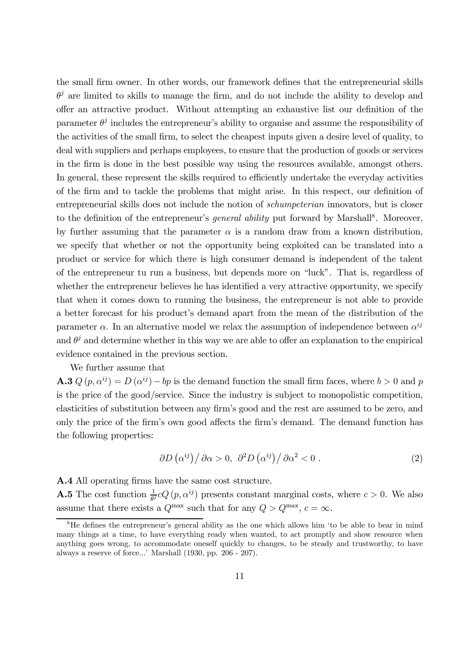the small firm owner. In other words, our framework defines that the entrepreneurial skills  $\theta^j$  are limited to skills to manage the firm, and do not include the ability to develop and offer an attractive product. Without attempting an exhaustive list our definition of the parameter  $\theta^j$  includes the entrepreneur's ability to organise and assume the responsibility of the activities of the small firm, to select the cheapest inputs given a desire level of quality, to deal with suppliers and perhaps employees, to ensure that the production of goods or services in the firm is done in the best possible way using the resources available, amongst others. In general, these represent the skills required to efficiently undertake the everyday activities of the firm and to tackle the problems that might arise. In this respect, our definition of entrepreneurial skills does not include the notion of *schumpeterian* innovators, but is closer to the definition of the entrepreneur's *general ability* put forward by Marshall<sup>8</sup>. Moreover, by further assuming that the parameter  $\alpha$  is a random draw from a known distribution, we specify that whether or not the opportunity being exploited can be translated into a product or service for which there is high consumer demand is independent of the talent of the entrepreneur tu run a business, but depends more on "luck". That is, regardless of whether the entrepreneur believes he has identified a very attractive opportunity, we specify that when it comes down to running the business, the entrepreneur is not able to provide a better forecast for his product's demand apart from the mean of the distribution of the parameter  $\alpha$ . In an alternative model we relax the assumption of independence between  $\alpha^{ij}$ and  $\theta^j$  and determine whether in this way we are able to offer an explanation to the empirical evidence contained in the previous section.

We further assume that

**A.3**  $Q(p, \alpha^{ij}) = D(\alpha^{ij}) - bp$  is the demand function the small firm faces, where  $b > 0$  and p is the price of the good/service. Since the industry is subject to monopolistic competition, elasticities of substitution between any firm's good and the rest are assumed to be zero, and only the price of the firm's own good affects the firm's demand. The demand function has the following properties:

$$
\frac{\partial D(\alpha^{ij})}{\partial \alpha} > 0, \ \frac{\partial^2 D(\alpha^{ij})}{\partial \alpha^2} < 0 \ . \tag{2}
$$

**A.4** All operating firms have the same cost structure.

**A.5** The cost function  $\frac{1}{a^j}cQ(p, \alpha^{ij})$  presents constant marginal costs, where  $c > 0$ . We also assume that there exists a  $Q^{\text{max}}$  such that for any  $Q > Q^{\text{max}}$ ,  $c = \infty$ .

<sup>&</sup>lt;sup>8</sup>He defines the entrepreneur's general ability as the one which allows him 'to be able to bear in mind many things at a time, to have everything ready when wanted, to act promptly and show resource when anything goes wrong, to accommodate oneself quickly to changes, to be steady and trustworthy, to have always a reserve of force...' Marshall (1930, pp. 206 - 207).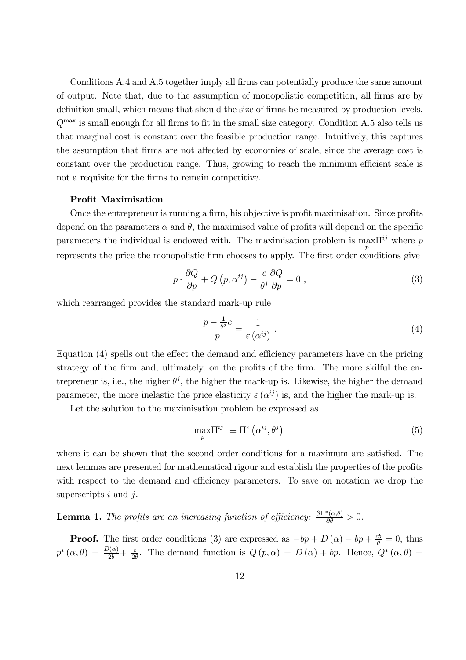Conditions A.4 and A.5 together imply all firms can potentially produce the same amount of output. Note that, due to the assumption of monopolistic competition, all firms are by definition small, which means that should the size of firms be measured by production levels,  $Q^{\text{max}}$  is small enough for all firms to fit in the small size category. Condition A.5 also tells us that marginal cost is constant over the feasible production range. Intuitively, this captures the assumption that firms are not affected by economies of scale, since the average cost is constant over the production range. Thus, growing to reach the minimum efficient scale is not a requisite for the firms to remain competitive.

### **Profit Maximisation**

Once the entrepreneur is running a firm, his objective is profit maximisation. Since profits depend on the parameters  $\alpha$  and  $\theta$ , the maximised value of profits will depend on the specific parameters the individual is endowed with. The maximisation problem is max $\Pi^{ij}$  where p represents the price the monopolistic firm chooses to apply. The first order conditions give

$$
p \cdot \frac{\partial Q}{\partial p} + Q\left(p, \alpha^{ij}\right) - \frac{c}{\theta^{j}} \frac{\partial Q}{\partial p} = 0 \tag{3}
$$

which rearranged provides the standard mark-up rule

$$
\frac{p - \frac{1}{\theta^j}c}{p} = \frac{1}{\varepsilon(\alpha^{ij})} \tag{4}
$$

Equation (4) spells out the effect the demand and efficiency parameters have on the pricing strategy of the firm and, ultimately, on the profits of the firm. The more skilful the entrepreneur is, i.e., the higher  $\theta^j$ , the higher the mark-up is. Likewise, the higher the demand parameter, the more inelastic the price elasticity  $\varepsilon(\alpha^{ij})$  is, and the higher the mark-up is.

Let the solution to the maximisation problem be expressed as

$$
\max_{p} \Pi^{ij} \equiv \Pi^* \left( \alpha^{ij}, \theta^j \right) \tag{5}
$$

where it can be shown that the second order conditions for a maximum are satisfied. The next lemmas are presented for mathematical rigour and establish the properties of the profits with respect to the demand and efficiency parameters. To save on notation we drop the superscripts  $i$  and  $j$ .

**Lemma 1.** The profits are an increasing function of efficiency:  $\frac{\partial \Pi^*(\alpha,\theta)}{\partial \theta} > 0$ .

**Proof.** The first order conditions (3) are expressed as  $-bp + D(\alpha) - bp + \frac{cb}{\theta} = 0$ , thus  $p^*(\alpha,\theta) = \frac{D(\alpha)}{2b} + \frac{c}{2\theta}$ . The demand function is  $Q(p,\alpha) = D(\alpha) + bp$ . Hence,  $Q^*(\alpha,\theta) =$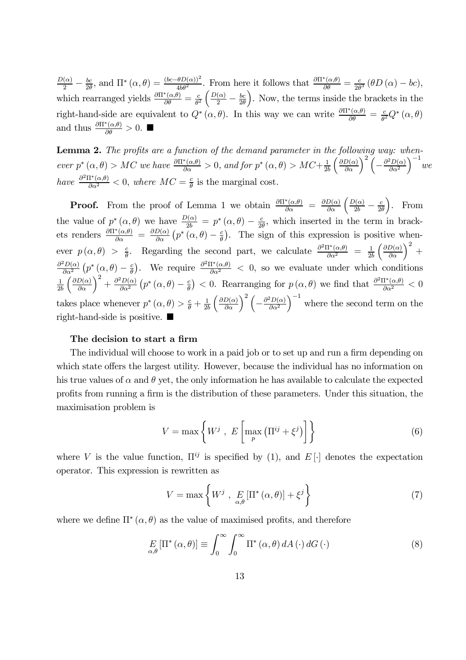$\frac{D(\alpha)}{2} - \frac{bc}{2\theta}$ , and  $\Pi^*(\alpha, \theta) = \frac{(bc - \theta D(\alpha))^2}{4b\theta^2}$ . From here it follows that  $\frac{\partial \Pi^*(\alpha, \theta)}{\partial \theta} = \frac{c}{2\theta^3} (\theta D(\alpha) - bc)$ , which rearranged yields  $\frac{\partial \Pi^*(\alpha, \theta)}{\partial \theta} = \frac{c}{\theta^2} \left( \frac{D(\alpha)}{2} - \frac{bc}{2\theta} \right)$ . Now, right-hand-side are equivalent to  $Q^*(\alpha, \theta)$ . In this way we can write  $\frac{\partial \Pi^*(\alpha, \theta)}{\partial \theta} = \frac{c}{\theta^2} Q^*(\alpha, \theta)$ and thus  $\frac{\partial \Pi^*(\alpha,\theta)}{\partial \theta} > 0$ .

**Lemma 2.** The profits are a function of the demand parameter in the following way: whenever  $p^*(\alpha, \theta) > MC$  we have  $\frac{\partial \Pi^*(\alpha, \theta)}{\partial \alpha} > 0$ , and for  $p^*(\alpha, \theta) > MC + \frac{1}{2b} \left(\frac{\partial D(\alpha)}{\partial \alpha}\right)^2 \left(-\frac{\partial^2 D(\alpha)}{\partial \alpha^2}\right)^{-1}$  we have  $\frac{\partial^2 \Pi^*(\alpha,\theta)}{\partial \alpha^2} < 0$ , where  $MC = \frac{c}{\theta}$  is the marginal cost.

**Proof.** From the proof of Lemma 1 we obtain  $\frac{\partial \Pi^*(\alpha,\theta)}{\partial \alpha} = \frac{\partial D(\alpha)}{\partial \alpha} \left( \frac{D(\alpha)}{2b} - \frac{c}{2\theta} \right)$ . From the value of  $p^*(\alpha, \theta)$  we have  $\frac{D(\alpha)}{2b} = p^*(\alpha, \theta) - \frac{c}{2\theta}$ , which inserted in the term in brack-<br>ets renders  $\frac{\partial \Pi^*(\alpha, \theta)}{\partial \alpha} = \frac{\partial D(\alpha)}{\partial \alpha} (p^*(\alpha, \theta) - \frac{c}{\theta})$ . The sign of this expression is positive whenever  $p(\alpha, \theta) > \frac{c}{\theta}$ . Regarding the second part, we calculate  $\frac{\partial^2 \Pi^*(\alpha, \theta)}{\partial \alpha^2} = \frac{1}{2b} \left( \frac{\partial D(\alpha)}{\partial \alpha} \right)^2$  +  $\frac{\partial^2 D(\alpha)}{\partial \alpha^2} (p^*(\alpha, \theta) - \frac{c}{\theta}).$  We require  $\frac{\partial^2 \Pi^*(\alpha, \theta)}{\partial \alpha^2} < 0$ , so we evaluate under which conditions  $\frac{1}{2b} \left( \frac{\partial D(\alpha)}{\partial \alpha} \right)^2 + \frac{\partial^2 D(\alpha)}{\partial \alpha^2} \left( p^*(\alpha, \theta) - \frac{c}{\theta} \right) < 0.$  Rearranging for  $p(\alpha, \theta)$  we find that  $\frac{\partial^2 \Pi^*(\alpha, \theta)}{\partial \alpha^2} < 0$ takes place whenever  $p^*(\alpha, \theta) > \frac{c}{\theta} + \frac{1}{2b} \left( \frac{\partial D(\alpha)}{\partial \alpha} \right)^2 \left( -\frac{\partial^2 D(\alpha)}{\partial \alpha^2} \right)^{-1}$  where the second term on the right-hand-side is positive.  $\blacksquare$ 

### The decision to start a firm

The individual will choose to work in a paid job or to set up and run a firm depending on which state offers the largest utility. However, because the individual has no information on his true values of  $\alpha$  and  $\theta$  yet, the only information he has available to calculate the expected profits from running a firm is the distribution of these parameters. Under this situation, the maximisation problem is

$$
V = \max\left\{W^j \ , \ E\left[\max_p \left(\Pi^{ij} + \xi^j\right)\right]\right\} \tag{6}
$$

where V is the value function,  $\Pi^{ij}$  is specified by (1), and E[.] denotes the expectation operator. This expression is rewritten as

$$
V = \max \left\{ W^j \ , \ E_{\alpha,\theta} \left[ \Pi^* \left( \alpha, \theta \right) \right] + \xi^j \right\} \tag{7}
$$

where we define  $\Pi^*(\alpha, \theta)$  as the value of maximised profits, and therefore

$$
E_{\alpha,\theta}[\Pi^*(\alpha,\theta)] \equiv \int_0^\infty \int_0^\infty \Pi^*(\alpha,\theta) dA(\cdot) dG(\cdot)
$$
 (8)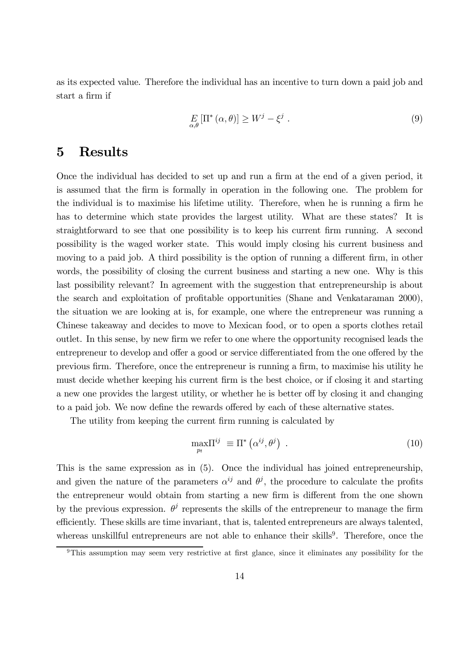as its expected value. Therefore the individual has an incentive to turn down a paid job and start a firm if

$$
E_{\alpha,\theta} \left[ \Pi^* \left( \alpha, \theta \right) \right] \ge W^j - \xi^j \tag{9}
$$

#### $\overline{5}$ **Results**

Once the individual has decided to set up and run a firm at the end of a given period, it is assumed that the firm is formally in operation in the following one. The problem for the individual is to maximise his lifetime utility. Therefore, when he is running a firm he has to determine which state provides the largest utility. What are these states? It is straightforward to see that one possibility is to keep his current firm running. A second possibility is the waged worker state. This would imply closing his current business and moving to a paid job. A third possibility is the option of running a different firm, in other words, the possibility of closing the current business and starting a new one. Why is this last possibility relevant? In agreement with the suggestion that entrepreneurship is about the search and exploitation of profitable opportunities (Shane and Venkataraman 2000), the situation we are looking at is, for example, one where the entrepreneur was running a Chinese takeaway and decides to move to Mexican food, or to open a sports clothes retail out let. In this sense, by new firm we refer to one where the opportunity recognised leads the entrepreneur to develop and offer a good or service differentiated from the one offered by the previous firm. Therefore, once the entrepreneur is running a firm, to maximise his utility he must decide whether keeping his current firm is the best choice, or if closing it and starting a new one provides the largest utility, or whether he is better off by closing it and changing to a paid job. We now define the rewards offered by each of these alternative states.

The utility from keeping the current firm running is calculated by

$$
\max_{p_t} \Pi^{ij} \equiv \Pi^* \left( \alpha^{ij}, \theta^j \right) \tag{10}
$$

This is the same expression as in (5). Once the individual has joined entrepreneurship. and given the nature of the parameters  $\alpha^{ij}$  and  $\theta^j$ , the procedure to calculate the profits the entrepreneur would obtain from starting a new firm is different from the one shown by the previous expression.  $\theta^j$  represents the skills of the entrepreneur to manage the firm efficiently. These skills are time invariant, that is, talented entrepreneurs are always talented, whereas unskillful entrepreneurs are not able to enhance their skills<sup>9</sup>. Therefore, once the

 $9$ This assumption may seem very restrictive at first glance, since it eliminates any possibility for the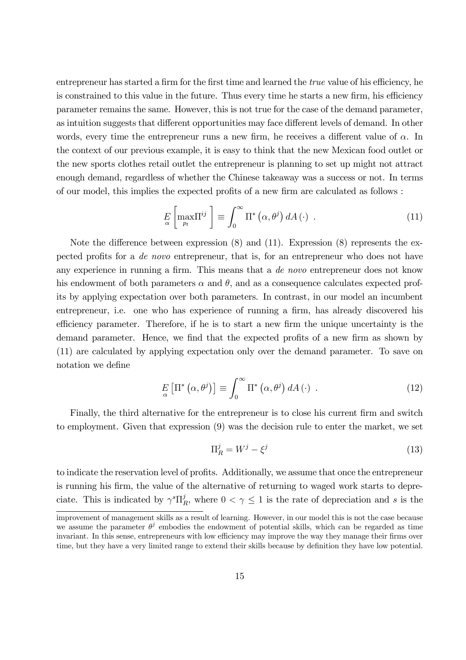entrepreneur has started a firm for the first time and learned the *true* value of his efficiency, he is constrained to this value in the future. Thus every time he starts a new firm, his efficiency parameter remains the same. However, this is not true for the case of the demand parameter, as intuition suggests that different opportunities may face different levels of demand. In other words, every time the entrepreneur runs a new firm, he receives a different value of  $\alpha$ . In the context of our previous example, it is easy to think that the new Mexican food outlet or the new sports clothes retail outlet the entrepreneur is planning to set up might not attract enough demand, regardless of whether the Chinese takeaway was a success or not. In terms of our model, this implies the expected profits of a new firm are calculated as follows :

$$
E\left[\max_{p_t} \Pi^{ij}\right] \equiv \int_0^\infty \Pi^* \left(\alpha, \theta^j\right) dA \left(\cdot\right) \ . \tag{11}
$$

Note the difference between expression  $(8)$  and  $(11)$ . Expression  $(8)$  represents the expected profits for a *de novo* entrepreneur, that is, for an entrepreneur who does not have any experience in running a firm. This means that a de novo entrepreneur does not know his endowment of both parameters  $\alpha$  and  $\theta$ , and as a consequence calculates expected profits by applying expectation over both parameters. In contrast, in our model an incumbent entrepreneur, i.e. one who has experience of running a firm, has already discovered his efficiency parameter. Therefore, if he is to start a new firm the unique uncertainty is the demand parameter. Hence, we find that the expected profits of a new firm as shown by (11) are calculated by applying expectation only over the demand parameter. To save on notation we define

$$
E_{\alpha} \left[ \Pi^* \left( \alpha, \theta^j \right) \right] \equiv \int_0^\infty \Pi^* \left( \alpha, \theta^j \right) dA \left( \cdot \right) . \tag{12}
$$

Finally, the third alternative for the entrepreneur is to close his current firm and switch to employment. Given that expression  $(9)$  was the decision rule to enter the market, we set

$$
\Pi_R^j = W^j - \xi^j \tag{13}
$$

to indicate the reservation level of profits. Additionally, we assume that once the entrepreneur is running his firm, the value of the alternative of returning to waged work starts to depreciate. This is indicated by  $\gamma^s \Pi_R^j$ , where  $0 < \gamma \leq 1$  is the rate of depreciation and s is the

improvement of management skills as a result of learning. However, in our model this is not the case because we assume the parameter  $\theta^j$  embodies the endowment of potential skills, which can be regarded as time invariant. In this sense, entrepreneurs with low efficiency may improve the way they manage their firms over time, but they have a very limited range to extend their skills because by definition they have low potential.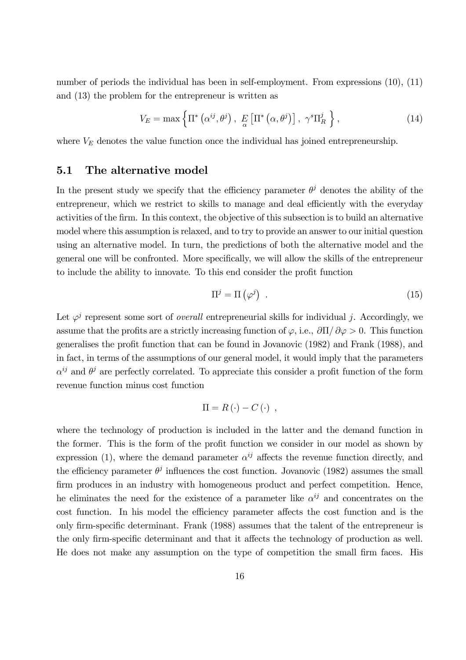number of periods the individual has been in self-employment. From expressions  $(10)$ ,  $(11)$ and  $(13)$  the problem for the entrepreneur is written as

$$
V_E = \max\left\{\Pi^*\left(\alpha^{ij}, \theta^j\right), \ E\left[\Pi^*\left(\alpha, \theta^j\right)\right], \ \gamma^s \Pi_R^j\right\},\tag{14}
$$

where  $V_E$  denotes the value function once the individual has joined entrepreneurship.

#### $5.1$ The alternative model

In the present study we specify that the efficiency parameter  $\theta^j$  denotes the ability of the entrepreneur, which we restrict to skills to manage and deal efficiently with the everyday activities of the firm. In this context, the objective of this subsection is to build an alternative model where this assumption is relaxed, and to try to provide an answer to our initial question using an alternative model. In turn, the predictions of both the alternative model and the general one will be confronted. More specifically, we will allow the skills of the entrepreneur to include the ability to innovate. To this end consider the profit function

$$
\Pi^{j} = \Pi\left(\varphi^{j}\right) \tag{15}
$$

Let  $\varphi^j$  represent some sort of *overall* entrepreneurial skills for individual j. Accordingly, we assume that the profits are a strictly increasing function of  $\varphi$ , i.e.,  $\partial\Pi/\partial\varphi > 0$ . This function generalises the profit function that can be found in Jovanovic (1982) and Frank (1988), and in fact, in terms of the assumptions of our general model, it would imply that the parameters  $\alpha^{ij}$  and  $\theta^j$  are perfectly correlated. To appreciate this consider a profit function of the form revenue function minus cost function

$$
\Pi = R(\cdot) - C(\cdot) ,
$$

where the technology of production is included in the latter and the demand function in the former. This is the form of the profit function we consider in our model as shown by expression (1), where the demand parameter  $\alpha^{ij}$  affects the revenue function directly, and the efficiency parameter  $\theta^j$  influences the cost function. Jovanovic (1982) assumes the small firm produces in an industry with homogeneous product and perfect competition. Hence, he eliminates the need for the existence of a parameter like  $\alpha^{ij}$  and concentrates on the cost function. In his model the efficiency parameter affects the cost function and is the only firm-specific determinant. Frank (1988) assumes that the talent of the entrepreneur is the only firm-specific determinant and that it affects the technology of production as well. He does not make any assumption on the type of competition the small firm faces. His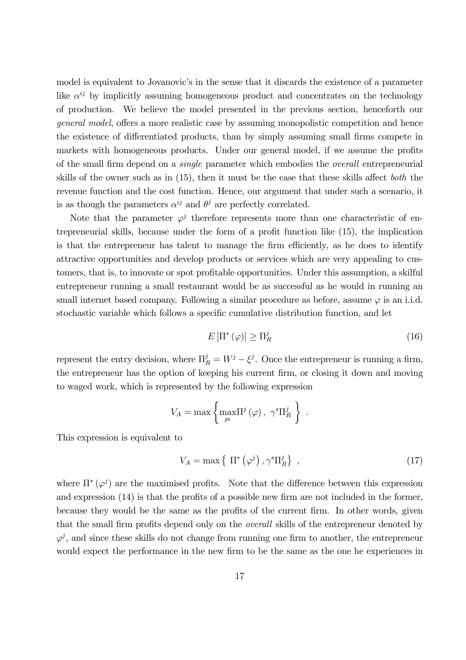model is equivalent to Jovanovic's in the sense that it discards the existence of a parameter like  $\alpha^{ij}$  by implicitly assuming homogeneous product and concentrates on the technology of production. We believe the model presented in the previous section, henceforth our *general model*, offers a more realistic case by assuming monopolistic competition and hence the existence of differentiated products, than by simply assuming small firms compete in markets with homogeneous products. Under our general model, if we assume the profits of the small firm depend on a *single* parameter which embodies the *overall* entrepreneurial skills of the owner such as in  $(15)$ , then it must be the case that these skills affect *both* the revenue function and the cost function. Hence, our argument that under such a scenario, it is as though the parameters  $\alpha^{ij}$  and  $\theta^j$  are perfectly correlated.

Note that the parameter  $\varphi^{j}$  therefore represents more than one characteristic of entrepreneurial skills, because under the form of a profit function like (15), the implication is that the entrepreneur has talent to manage the firm efficiently, as he does to identify attractive opportunities and develop products or services which are very appealing to customers, that is, to innovate or spot profitable opportunities. Under this assumption, a skilful entrepreneur running a small restaurant would be as successful as he would in running an small internet based company. Following a similar procedure as before, assume  $\varphi$  is an i.i.d. stochastic variable which follows a specific cumulative distribution function, and let

$$
E\left[\Pi^*\left(\varphi\right)\right] \ge \Pi_R^j\tag{16}
$$

represent the entry decision, where  $\Pi_R^j = W^j - \xi^j$ . Once the entrepreneur is running a firm, the entrepreneur has the option of keeping his current firm, or closing it down and moving to waged work, which is represented by the following expression

$$
V_A = \max \left\{ \max_{p_t} \Pi^j(\varphi), \ \gamma^s \Pi^j_R \right\} \ .
$$

This expression is equivalent to

$$
V_A = \max\left\{ \Pi^* \left( \varphi^j \right), \gamma^s \Pi_R^j \right\},\tag{17}
$$

where  $\Pi^*(\varphi^j)$  are the maximised profits. Note that the difference between this expression and expression  $(14)$  is that the profits of a possible new firm are not included in the former, because they would be the same as the profits of the current firm. In other words, given that the small firm profits depend only on the *overall* skills of the entrepreneur denoted by  $\varphi^{j}$ , and since these skills do not change from running one firm to another, the entrepreneur would expect the performance in the new firm to be the same as the one he experiences in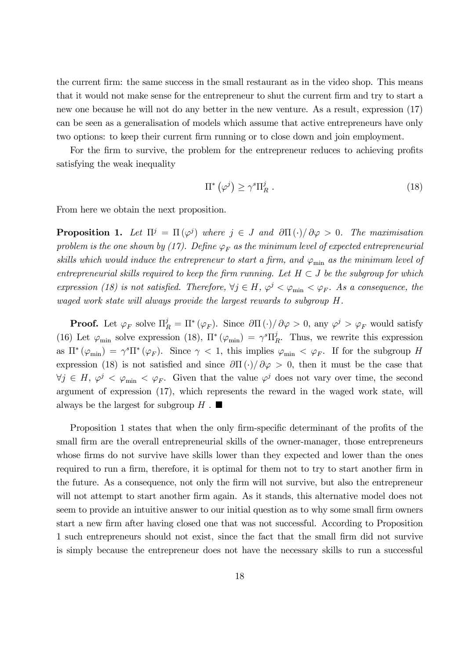the current firm: the same success in the small restaurant as in the video shop. This means that it would not make sense for the entrepreneur to shut the current firm and try to start a new one because he will not do any better in the new venture. As a result, expression (17) can be seen as a generalisation of models which assume that active entrepreneurs have only two options: to keep their current firm running or to close down and join employment.

For the firm to survive, the problem for the entrepreneur reduces to achieving profits satisfying the weak inequality

$$
\Pi^* \left( \varphi^j \right) \ge \gamma^s \Pi_R^j \ . \tag{18}
$$

From here we obtain the next proposition.

**Proposition 1.** Let  $\Pi^j = \Pi(\varphi^j)$  where  $j \in J$  and  $\partial \Pi(\cdot)/\partial \varphi > 0$ . The maximisation problem is the one shown by (17). Define  $\varphi_F$  as the minimum level of expected entrepreneurial skills which would induce the entrepreneur to start a firm, and  $\varphi_{\min}$  as the minimum level of entrepreneurial skills required to keep the firm running. Let  $H \subset J$  be the subgroup for which expression (18) is not satisfied. Therefore,  $\forall j \in H$ ,  $\varphi^j < \varphi_{\min} < \varphi_F$ . As a consequence, the waged work state will always provide the largest rewards to subgroup H.

**Proof.** Let  $\varphi_F$  solve  $\Pi_R^j = \Pi^*(\varphi_F)$ . Since  $\partial\Pi(\cdot)/\partial\varphi > 0$ , any  $\varphi^j > \varphi_F$  would satisfy (16) Let  $\varphi_{\min}$  solve expression (18),  $\Pi^*(\varphi_{\min}) = \gamma^s \Pi_R^j$ . Thus, we rewrite this expression as  $\Pi^*(\varphi_{\min}) = \gamma^s \Pi^*(\varphi_F)$ . Since  $\gamma < 1$ , this implies  $\varphi_{\min} < \varphi_F$ . If for the subgroup H expression (18) is not satisfied and since  $\partial\Pi(\cdot)/\partial\varphi > 0$ , then it must be the case that  $\forall j \in H, \varphi^j < \varphi_{\min} < \varphi_F$ . Given that the value  $\varphi^j$  does not vary over time, the second argument of expression (17), which represents the reward in the waged work state, will always be the largest for subgroup  $H$ .

Proposition 1 states that when the only firm-specific determinant of the profits of the small firm are the overall entrepreneurial skills of the owner-manager, those entrepreneurs whose firms do not survive have skills lower than they expected and lower than the ones required to run a firm, therefore, it is optimal for them not to try to start another firm in the future. As a consequence, not only the firm will not survive, but also the entrepreneur will not attempt to start another firm again. As it stands, this alternative model does not seem to provide an intuitive answer to our initial question as to why some small firm owners start a new firm after having closed one that was not successful. According to Proposition 1 such entrepreneurs should not exist, since the fact that the small firm did not survive is simply because the entrepreneur does not have the necessary skills to run a successful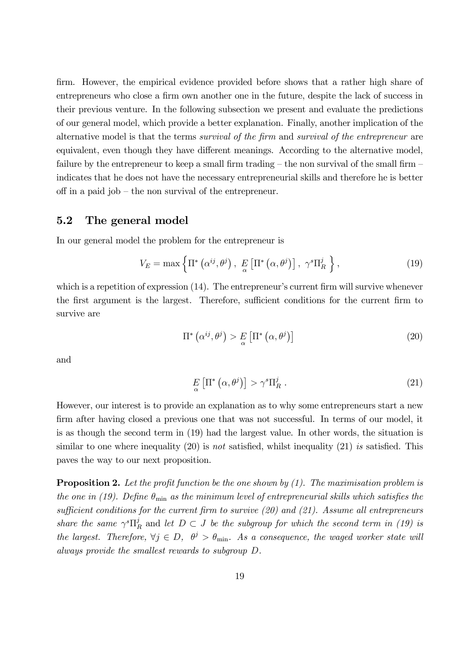firm. However, the empirical evidence provided before shows that a rather high share of entrepreneurs who close a firm own another one in the future, despite the lack of success in their previous venture. In the following subsection we present and evaluate the predictions of our general model, which provide a better explanation. Finally, another implication of the alternative model is that the terms survival of the firm and survival of the entrepreneur are equivalent, even though they have different meanings. According to the alternative model, failure by the entrepreneur to keep a small firm trading  $-$  the non survival of the small firm  $$ indicates that he does not have the necessary entrepreneurial skills and therefore he is better off in a paid job – the non survival of the entrepreneur.

#### $5.2$ The general model

In our general model the problem for the entrepreneur is

$$
V_E = \max\left\{\Pi^*\left(\alpha^{ij}, \theta^j\right), \ E\left[\Pi^*\left(\alpha, \theta^j\right)\right], \ \gamma^s \Pi_R^j\right\},\tag{19}
$$

which is a repetition of expression  $(14)$ . The entrepreneur's current firm will survive whenever the first argument is the largest. Therefore, sufficient conditions for the current firm to survive are

$$
\Pi^* \left( \alpha^{ij}, \theta^j \right) > E \left[ \Pi^* \left( \alpha, \theta^j \right) \right] \tag{20}
$$

and

$$
E\left[\Pi^*\left(\alpha,\theta^j\right)\right] > \gamma^s \Pi_R^j \tag{21}
$$

However, our interest is to provide an explanation as to why some entrepreneurs start a new firm after having closed a previous one that was not successful. In terms of our model, it is as though the second term in  $(19)$  had the largest value. In other words, the situation is similar to one where inequality  $(20)$  is *not* satisfied, whilst inequality  $(21)$  is satisfied. This payes the way to our next proposition.

**Proposition 2.** Let the profit function be the one shown by  $(1)$ . The maximisation problem is the one in (19). Define  $\theta_{\min}$  as the minimum level of entrepreneurial skills which satisfies the sufficient conditions for the current firm to survive  $(20)$  and  $(21)$ . Assume all entrepreneurs share the same  $\gamma^s \Pi_R^j$  and let  $D \subset J$  be the subgroup for which the second term in (19) is the largest. Therefore,  $\forall j \in D$ ,  $\theta^j > \theta_{\min}$ . As a consequence, the waged worker state will always provide the smallest rewards to subgroup D.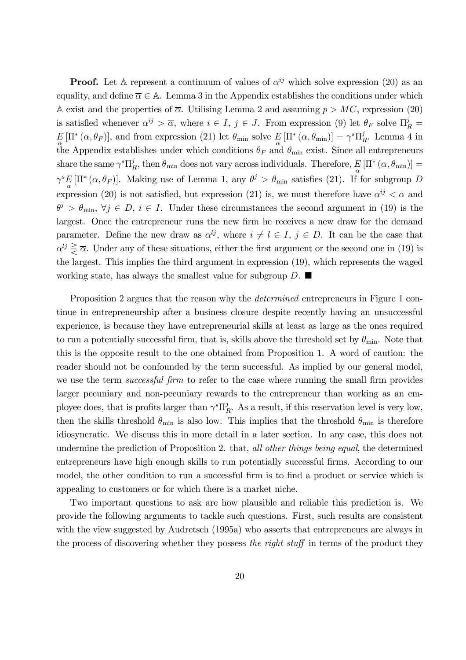**Proof.** Let A represent a continuum of values of  $\alpha^{ij}$  which solve expression (20) as an equality, and define  $\overline{\alpha} \in A$ . Lemma 3 in the Appendix establishes the conditions under which A exist and the properties of  $\overline{\alpha}$ . Utilising Lemma 2 and assuming  $p > MC$ , expression (20) is satisfied whenever  $\alpha^{ij} > \overline{\alpha}$ , where  $i \in I$ ,  $j \in J$ . From expression (9) let  $\theta_F$  solve  $\Pi_R^j =$  $E[\Pi^*(\alpha,\theta_F)],$  and from expression (21) let  $\theta_{\min}$  solve  $E[\Pi^*(\alpha,\theta_{\min})] = \gamma^s \Pi_R^j$ . Lemma 4 in the Appendix establishes under which conditions  $\theta_F$  and  $\theta_{\min}$  exist. Since all entrepreneurs share the same  $\gamma^s \Pi_R^j$ , then  $\theta_{\min}$  does not vary across individuals. Therefore,  $E[\Pi^*(\alpha, \theta_{\min})] =$  $\gamma^s E[\Pi^*(\alpha, \theta_F)]$ . Making use of Lemma 1, any  $\theta^j > \theta_{\min}$  satisfies (21). If for subgroup D expression (20) is not satisfied, but expression (21) is, we must therefore have  $\alpha^{ij} < \overline{\alpha}$  and  $\theta^j > \theta_{\min}, \forall j \in D, i \in I$ . Under these circumstances the second argument in (19) is the largest. Once the entrepreneur runs the new firm he receives a new draw for the demand parameter. Define the new draw as  $\alpha^{lj}$ , where  $i \neq l \in I$ ,  $j \in D$ . It can be the case that  $\alpha^{lj} \geq \overline{\alpha}$ . Under any of these situations, either the first argument or the second one in (19) is the largest. This implies the third argument in expression (19), which represents the waged working state, has always the smallest value for subgroup  $D$ .

Proposition 2 argues that the reason why the *determined* entrepreneurs in Figure 1 continue in entrepreneurship after a business closure despite recently having an unsuccessful experience, is because they have entrepreneurial skills at least as large as the ones required to run a potentially successful firm, that is, skills above the threshold set by  $\theta_{\min}$ . Note that this is the opposite result to the one obtained from Proposition 1. A word of caution: the reader should not be confounded by the term successful. As implied by our general model, we use the term successful firm to refer to the case where running the small firm provides larger pecuniary and non-pecuniary rewards to the entrepreneur than working as an employee does, that is profits larger than  $\gamma^s \Pi_R^j$ . As a result, if this reservation level is very low, then the skills threshold  $\theta_{\min}$  is also low. This implies that the threshold  $\theta_{\min}$  is therefore idiosyncratic. We discuss this in more detail in a later section. In any case, this does not undermine the prediction of Proposition 2. that, all other things being equal, the determined entrepreneurs have high enough skills to run potentially successful firms. According to our model, the other condition to run a successful firm is to find a product or service which is appealing to customers or for which there is a market niche.

Two important questions to ask are how plausible and reliable this prediction is. We provide the following arguments to tackle such questions. First, such results are consistent with the view suggested by Audretsch (1995a) who asserts that entrepreneurs are always in the process of discovering whether they possess the right stuff in terms of the product they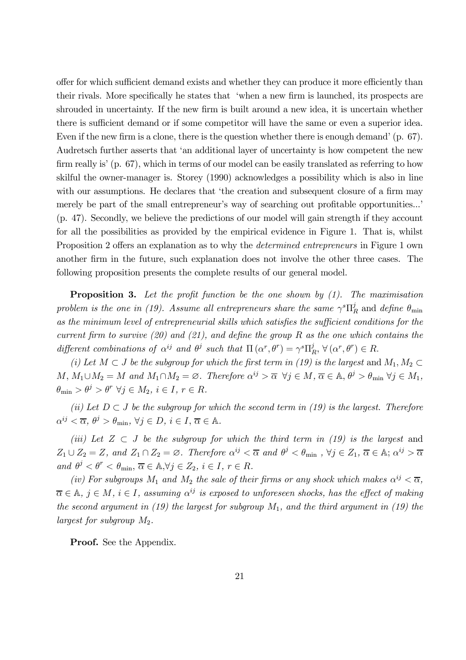offer for which sufficient demand exists and whether they can produce it more efficiently than their rivals. More specifically he states that 'when a new firm is launched, its prospects are shrouded in uncertainty. If the new firm is built around a new idea, it is uncertain whether there is sufficient demand or if some competitor will have the same or even a superior idea. Even if the new firm is a clone, there is the question whether there is enough demand' (p.  $67$ ). Audretsch further asserts that 'an additional layer of uncertainty is how competent the new firm really is' (p. 67), which in terms of our model can be easily translated as referring to how skilful the owner-manager is. Storey (1990) acknowledges a possibility which is also in line with our assumptions. He declares that 'the creation and subsequent closure of a firm may merely be part of the small entrepreneur's way of searching out profitable opportunities...' (p. 47). Secondly, we believe the predictions of our model will gain strength if they account for all the possibilities as provided by the empirical evidence in Figure 1. That is, whilst Proposition 2 offers an explanation as to why the *determined entrepreneurs* in Figure 1 own another firm in the future, such explanation does not involve the other three cases. The following proposition presents the complete results of our general model.

**Proposition 3.** Let the profit function be the one shown by  $(1)$ . The maximisation problem is the one in (19). Assume all entrepreneurs share the same  $\gamma^s \Pi_R^j$  and define  $\theta_{\min}$ as the minimum level of entrepreneurial skills which satisfies the sufficient conditions for the current firm to survive (20) and (21), and define the group R as the one which contains the different combinations of  $\alpha^{ij}$  and  $\theta^j$  such that  $\Pi(\alpha^r, \theta^r) = \gamma^s \Pi_R^j, \forall (\alpha^r, \theta^r) \in R$ .

(i) Let  $M \subset J$  be the subgroup for which the first term in (19) is the largest and  $M_1, M_2 \subset$  $M, M_1 \cup M_2 = M$  and  $M_1 \cap M_2 = \emptyset$ . Therefore  $\alpha^{ij} > \overline{\alpha} \ \forall j \in M$ ,  $\overline{\alpha} \in \mathbb{A}, \theta^j > \theta_{\min} \ \forall j \in M_1$ ,  $\theta_{\min} > \theta^j > \theta^r \ \forall j \in M_2, i \in I, r \in R.$ 

(ii) Let  $D \subset J$  be the subgroup for which the second term in (19) is the largest. Therefore  $\alpha^{ij} < \overline{\alpha}, \ \theta^j > \theta_{\min}, \ \forall j \in D, \ i \in I, \ \overline{\alpha} \in \mathbb{A}.$ 

(iii) Let  $Z \subset J$  be the subgroup for which the third term in (19) is the largest and  $Z_1 \cup Z_2 = Z$ , and  $Z_1 \cap Z_2 = \emptyset$ . Therefore  $\alpha^{ij} < \overline{\alpha}$  and  $\theta^j < \theta_{\min}$ ,  $\forall j \in Z_1$ ,  $\overline{\alpha} \in \mathbb{A};$   $\alpha^{ij} > \overline{\alpha}$ and  $\theta^j < \theta^r < \theta_{\min}, \overline{\alpha} \in \mathbb{A}, \forall j \in Z_2, i \in I, r \in R$ .

(iv) For subgroups  $M_1$  and  $M_2$  the sale of their firms or any shock which makes  $\alpha^{ij} < \overline{\alpha}$ ,  $\overline{\alpha} \in \mathbb{A}, i \in M, i \in I$ , assuming  $\alpha^{ij}$  is exposed to unforeseen shocks, has the effect of making the second argument in (19) the largest for subgroup  $M_1$ , and the third argument in (19) the largest for subgroup  $M_2$ .

**Proof.** See the Appendix.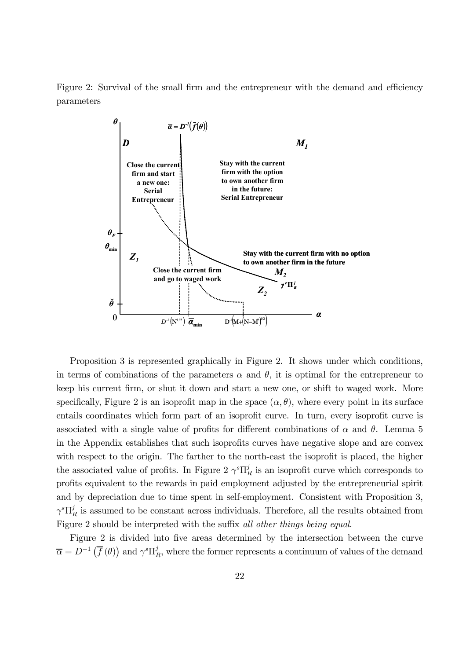Figure 2: Survival of the small firm and the entrepreneur with the demand and efficiency parameters



Proposition 3 is represented graphically in Figure 2. It shows under which conditions, in terms of combinations of the parameters  $\alpha$  and  $\theta$ , it is optimal for the entrepreneur to keep his current firm, or shut it down and start a new one, or shift to waged work. More specifically, Figure 2 is an isoprofit map in the space  $(\alpha, \theta)$ , where every point in its surface entails coordinates which form part of an isoprofit curve. In turn, every isoprofit curve is associated with a single value of profits for different combinations of  $\alpha$  and  $\theta$ . Lemma 5 in the Appendix establishes that such isoprofits curves have negative slope and are convex with respect to the origin. The farther to the north-east the isoprofit is placed, the higher the associated value of profits. In Figure 2  $\gamma^s \Pi_R^j$  is an isoprofit curve which corresponds to profits equivalent to the rewards in paid employment adjusted by the entrepreneurial spirit and by depreciation due to time spent in self-employment. Consistent with Proposition 3,  $\gamma^s \Pi_R^j$  is assumed to be constant across individuals. Therefore, all the results obtained from Figure 2 should be interpreted with the suffix all other things being equal.

Figure 2 is divided into five areas determined by the intersection between the curve  $\overline{\alpha} = D^{-1}(\overline{f}(\theta))$  and  $\gamma^s \Pi_R^j$ , where the former represents a continuum of values of the demand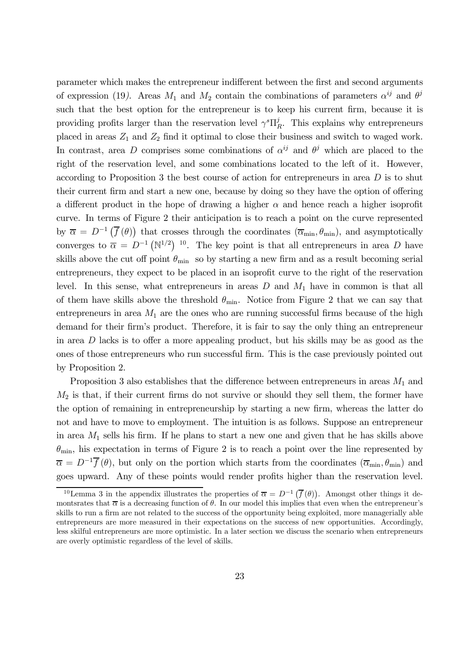parameter which makes the entrepreneur indifferent between the first and second arguments of expression (19). Areas  $M_1$  and  $M_2$  contain the combinations of parameters  $\alpha^{ij}$  and  $\theta^j$ such that the best option for the entrepreneur is to keep his current firm, because it is providing profits larger than the reservation level  $\gamma^s \Pi_R^j$ . This explains why entrepreneurs placed in areas  $Z_1$  and  $Z_2$  find it optimal to close their business and switch to waged work. In contrast, area D comprises some combinations of  $\alpha^{ij}$  and  $\theta^j$  which are placed to the right of the reservation level, and some combinations located to the left of it. However, according to Proposition 3 the best course of action for entrepreneurs in area  $D$  is to shut their current firm and start a new one, because by doing so they have the option of offering a different product in the hope of drawing a higher  $\alpha$  and hence reach a higher isoprofit curve. In terms of Figure 2 their anticipation is to reach a point on the curve represented by  $\overline{\alpha} = D^{-1}(\overline{f}(\theta))$  that crosses through the coordinates  $(\overline{\alpha}_{min}, \theta_{min})$ , and asymptotically converges to  $\overline{\alpha} = D^{-1} (\mathbb{N}^{1/2})^{-10}$ . The key point is that all entrepreneurs in area D have skills above the cut off point  $\theta_{\min}$  so by starting a new firm and as a result becoming serial entrepreneurs, they expect to be placed in an isoprofit curve to the right of the reservation level. In this sense, what entrepreneurs in areas  $D$  and  $M_1$  have in common is that all of them have skills above the threshold  $\theta_{\min}$ . Notice from Figure 2 that we can say that entrepreneurs in area  $M_1$  are the ones who are running successful firms because of the high demand for their firm's product. Therefore, it is fair to say the only thing an entrepreneur in area  $D$  lacks is to offer a more appealing product, but his skills may be as good as the ones of those entrepreneurs who run successful firm. This is the case previously pointed out by Proposition 2.

Proposition 3 also establishes that the difference between entrepreneurs in areas  $M_1$  and  $M_2$  is that, if their current firms do not survive or should they sell them, the former have the option of remaining in entrepreneurship by starting a new firm, whereas the latter do not and have to move to employment. The intuition is as follows. Suppose an entrepreneur in area  $M_1$  sells his firm. If he plans to start a new one and given that he has skills above  $\theta_{\min}$ , his expectation in terms of Figure 2 is to reach a point over the line represented by  $\overline{\alpha} = D^{-1} \overline{f}(\theta)$ , but only on the portion which starts from the coordinates  $(\overline{\alpha}_{min}, \theta_{min})$  and goes upward. Any of these points would render profits higher than the reservation level.

<sup>&</sup>lt;sup>10</sup>Lemma 3 in the appendix illustrates the properties of  $\overline{\alpha} = D^{-1}(\overline{f}(\theta))$ . Amongst other things it demonterates that  $\overline{\alpha}$  is a decreasing function of  $\theta$ . In our model this implies that even when the entrepreneur's skills to run a firm are not related to the success of the opportunity being exploited, more managerially able entrepreneurs are more measured in their expectations on the success of new opportunities. Accordingly, less skilful entrepreneurs are more optimistic. In a later section we discuss the scenario when entrepreneurs are overly optimistic regardless of the level of skills.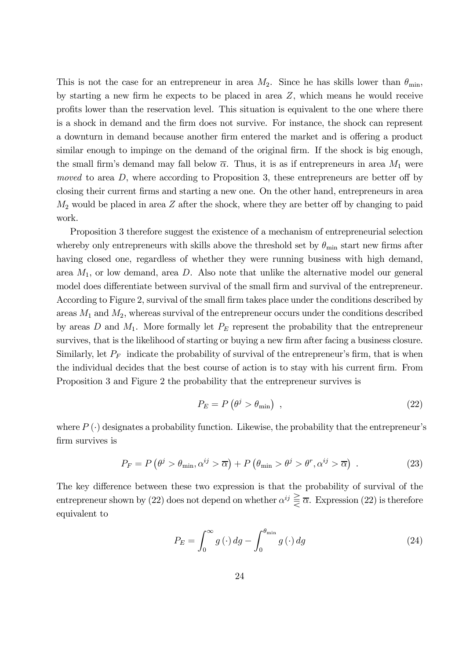This is not the case for an entrepreneur in area  $M_2$ . Since he has skills lower than  $\theta_{\min}$ . by starting a new firm he expects to be placed in area  $Z$ , which means he would receive profits lower than the reservation level. This situation is equivalent to the one where there is a shock in demand and the firm does not survive. For instance, the shock can represent a downturn in demand because another firm entered the market and is offering a product similar enough to impinge on the demand of the original firm. If the shock is big enough, the small firm's demand may fall below  $\overline{\alpha}$ . Thus, it is as if entrepreneurs in area  $M_1$  were moved to area  $D$ , where according to Proposition 3, these entrepreneurs are better off by closing their current firms and starting a new one. On the other hand, entrepreneurs in area  $M_2$  would be placed in area Z after the shock, where they are better off by changing to paid work.

Proposition 3 therefore suggest the existence of a mechanism of entrepreneurial selection whereby only entrepreneurs with skills above the threshold set by  $\theta_{\min}$  start new firms after having closed one, regardless of whether they were running business with high demand, area  $M_1$ , or low demand, area D. Also note that unlike the alternative model our general model does differentiate between survival of the small firm and survival of the entrepreneur. According to Figure 2, survival of the small firm takes place under the conditions described by areas  $M_1$  and  $M_2$ , whereas survival of the entrepreneur occurs under the conditions described by areas D and  $M_1$ . More formally let  $P_E$  represent the probability that the entrepreneur survives, that is the likelihood of starting or buying a new firm after facing a business closure. Similarly, let  $P_F$  indicate the probability of survival of the entrepreneur's firm, that is when the individual decides that the best course of action is to stay with his current firm. From Proposition 3 and Figure 2 the probability that the entrepreneur survives is

$$
P_E = P\left(\theta^j > \theta_{\min}\right) \tag{22}
$$

where  $P(\cdot)$  designates a probability function. Likewise, the probability that the entrepreneur's firm survives is

$$
P_F = P\left(\theta^j > \theta_{\min}, \alpha^{ij} > \overline{\alpha}\right) + P\left(\theta_{\min} > \theta^j > \theta^r, \alpha^{ij} > \overline{\alpha}\right) \tag{23}
$$

The key difference between these two expression is that the probability of survival of the entrepreneur shown by (22) does not depend on whether  $\alpha^{ij} \geq \overline{\alpha}$ . Expression (22) is therefore equivalent to

$$
P_E = \int_0^\infty g(\cdot) \, dg - \int_0^{\theta_{\text{min}}} g(\cdot) \, dg \tag{24}
$$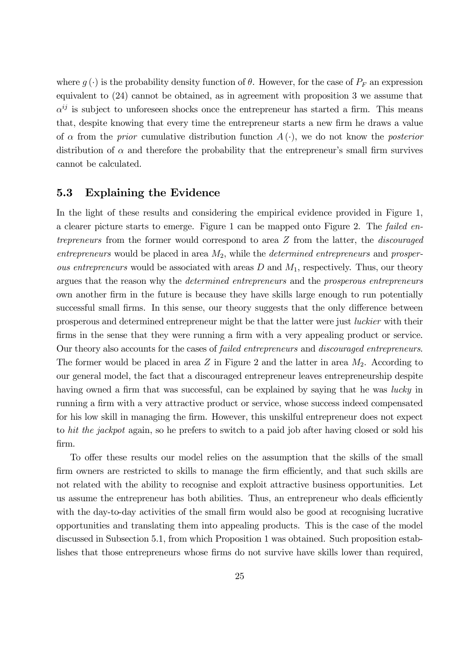where  $g(\cdot)$  is the probability density function of  $\theta$ . However, for the case of  $P_F$  an expression equivalent to  $(24)$  cannot be obtained, as in agreement with proposition 3 we assume that  $\alpha^{ij}$  is subject to unforeseen shocks once the entrepreneur has started a firm. This means that, despite knowing that every time the entrepreneur starts a new firm he draws a value of  $\alpha$  from the *prior* cumulative distribution function  $A(\cdot)$ , we do not know the *posterior* distribution of  $\alpha$  and therefore the probability that the entrepreneur's small firm survives cannot be calculated.

#### 5.3 **Explaining the Evidence**

In the light of these results and considering the empirical evidence provided in Figure 1, a clearer picture starts to emerge. Figure 1 can be mapped onto Figure 2. The failed en*trepreneurs* from the former would correspond to area Z from the latter, the *discouraged* entrepreneurs would be placed in area  $M_2$ , while the *determined entrepreneurs* and prosper*ous entrepreneurs* would be associated with areas  $D$  and  $M_1$ , respectively. Thus, our theory argues that the reason why the *determined entrepreneurs* and the *prosperous entrepreneurs* own another firm in the future is because they have skills large enough to run potentially successful small firms. In this sense, our theory suggests that the only difference between prosperous and determined entrepreneur might be that the latter were just *luckier* with their firms in the sense that they were running a firm with a very appealing product or service. Our theory also accounts for the cases of *failed entrepreneurs* and *discouraged entrepreneurs*. The former would be placed in area  $Z$  in Figure 2 and the latter in area  $M_2$ . According to our general model, the fact that a discouraged entrepreneur leaves entrepreneurship despite having owned a firm that was successful, can be explained by saying that he was lucky in running a firm with a very attractive product or service, whose success indeed compensated for his low skill in managing the firm. However, this unskilful entrepreneur does not expect to hit the jackpot again, so he prefers to switch to a paid job after having closed or sold his firm.

To offer these results our model relies on the assumption that the skills of the small firm owners are restricted to skills to manage the firm efficiently, and that such skills are not related with the ability to recognise and exploit attractive business opportunities. Let us assume the entrepreneur has both abilities. Thus, an entrepreneur who deals efficiently with the day-to-day activities of the small firm would also be good at recognising lucrative opportunities and translating them into appealing products. This is the case of the model discussed in Subsection 5.1, from which Proposition 1 was obtained. Such proposition establishes that those entrepreneurs whose firms do not survive have skills lower than required,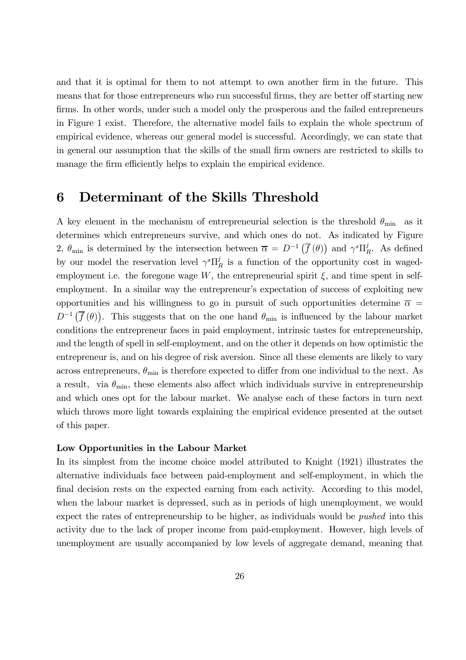and that it is optimal for them to not attempt to own another firm in the future. This means that for those entrepreneurs who run successful firms, they are better off starting new firms. In other words, under such a model only the prosperous and the failed entrepreneurs in Figure 1 exist. Therefore, the alternative model fails to explain the whole spectrum of empirical evidence, whereas our general model is successful. Accordingly, we can state that in general our assumption that the skills of the small firm owners are restricted to skills to manage the firm efficiently helps to explain the empirical evidence.

#### Determinant of the Skills Threshold 6

A key element in the mechanism of entrepreneurial selection is the threshold  $\theta_{\min}$  as it determines which entrepreneurs survive, and which ones do not. As indicated by Figure 2,  $\theta_{\min}$  is determined by the intersection between  $\overline{\alpha} = D^{-1}(\overline{f}(\theta))$  and  $\gamma^s \Pi_R^j$ . As defined by our model the reservation level  $\gamma^s \Pi_R^j$  is a function of the opportunity cost in wagedemployment i.e. the foregone wage W, the entrepreneurial spirit  $\xi$ , and time spent in selfemployment. In a similar way the entrepreneur's expectation of success of exploiting new opportunities and his willingness to go in pursuit of such opportunities determine  $\bar{\alpha}$  $D^{-1}(\overline{f}(\theta))$ . This suggests that on the one hand  $\theta_{\min}$  is influenced by the labour market conditions the entrepreneur faces in paid employment, intrinsic tastes for entrepreneurship, and the length of spell in self-employment, and on the other it depends on how optimistic the entrepreneur is, and on his degree of risk aversion. Since all these elements are likely to vary across entrepreneurs,  $\theta_{\min}$  is therefore expected to differ from one individual to the next. As a result, via  $\theta_{\min}$ , these elements also affect which individuals survive in entrepreneurship and which ones opt for the labour market. We analyse each of these factors in turn next which throws more light towards explaining the empirical evidence presented at the outset of this paper.

### Low Opportunities in the Labour Market

In its simplest from the income choice model attributed to Knight (1921) illustrates the alternative individuals face between paid-employment and self-employment, in which the final decision rests on the expected earning from each activity. According to this model, when the labour market is depressed, such as in periods of high unemployment, we would expect the rates of entrepreneurship to be higher, as individuals would be *pushed* into this activity due to the lack of proper income from paid-employment. However, high levels of unemployment are usually accompanied by low levels of aggregate demand, meaning that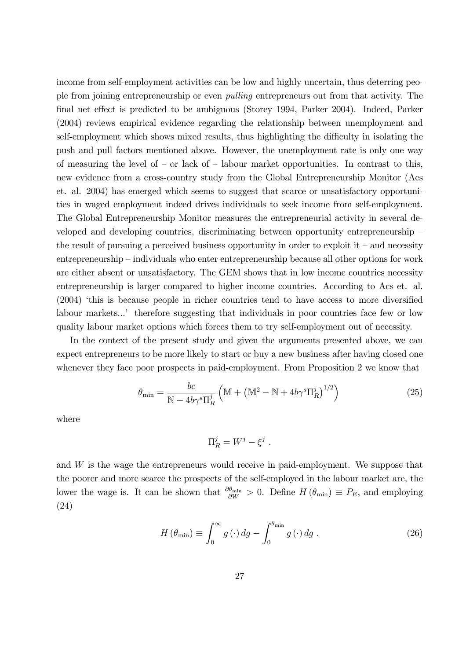income from self-employment activities can be low and highly uncertain, thus deterring people from joining entrepreneurship or even *pulling* entrepreneurs out from that activity. The final net effect is predicted to be ambiguous (Storey 1994, Parker 2004). Indeed, Parker (2004) reviews empirical evidence regarding the relationship between unemployment and self-employment which shows mixed results, thus highlighting the difficulty in isolating the push and pull factors mentioned above. However, the unemployment rate is only one way of measuring the level of – or lack of – labour market opportunities. In contrast to this, new evidence from a cross-country study from the Global Entrepreneurship Monitor (Acs et. al. 2004) has emerged which seems to suggest that scarce or unsatisfactory opportunities in waged employment indeed drives individuals to seek income from self-employment. The Global Entrepreneurship Monitor measures the entrepreneurial activity in several developed and developing countries, discriminating between opportunity entrepreneurship the result of pursuing a perceived business opportunity in order to exploit it – and necessity entrepreneurship – individuals who enter entrepreneurship because all other options for work are either absent or unsatisfactory. The GEM shows that in low income countries necessity entrepreneurship is larger compared to higher income countries. According to Acs et. al.  $(2004)$  'this is because people in richer countries tend to have access to more diversified labour markets...' therefore suggesting that individuals in poor countries face few or low quality labour market options which forces them to try self-employment out of necessity.

In the context of the present study and given the arguments presented above, we can expect entrepreneurs to be more likely to start or buy a new business after having closed one whenever they face poor prospects in paid-employment. From Proposition 2 we know that

$$
\theta_{\min} = \frac{bc}{N - 4b\gamma^s \Pi_R^j} \left( M + \left( M^2 - N + 4b\gamma^s \Pi_R^j \right)^{1/2} \right)
$$
(25)

where

$$
\Pi_R^j = W^j - \xi^j
$$

and W is the wage the entrepreneurs would receive in paid-employment. We suppose that the poorer and more scarce the prospects of the self-employed in the labour market are, the lower the wage is. It can be shown that  $\frac{\partial \theta_{\min}}{\partial W} > 0$ . Define  $H(\theta_{\min}) \equiv P_E$ , and employing  $(24)$ 

$$
H\left(\theta_{\min}\right) \equiv \int_0^\infty g\left(\cdot\right) dg - \int_0^{\theta_{\min}} g\left(\cdot\right) dg \tag{26}
$$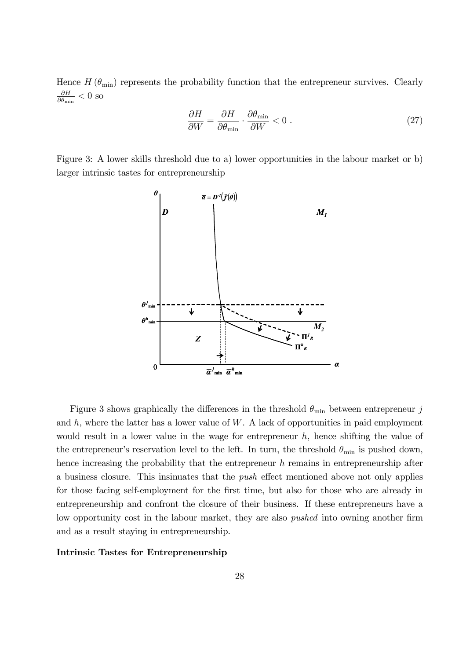Hence  $H(\theta_{\min})$  represents the probability function that the entrepreneur survives. Clearly  $\frac{\partial H}{\partial \theta_{\min}} < 0$  so

$$
\frac{\partial H}{\partial W} = \frac{\partial H}{\partial \theta_{\min}} \cdot \frac{\partial \theta_{\min}}{\partial W} < 0 \tag{27}
$$

Figure 3: A lower skills threshold due to a) lower opportunities in the labour market or b) larger intrinsic tastes for entrepreneurship



Figure 3 shows graphically the differences in the threshold  $\theta_{\min}$  between entrepreneur j and  $h$ , where the latter has a lower value of  $W$ . A lack of opportunities in paid employment would result in a lower value in the wage for entrepreneur  $h$ , hence shifting the value of the entrepreneur's reservation level to the left. In turn, the threshold  $\theta_{\min}$  is pushed down, hence increasing the probability that the entrepreneur  $h$  remains in entrepreneurship after a business closure. This insimuates that the *push* effect mentioned above not only applies for those facing self-employment for the first time, but also for those who are already in entrepreneurship and confront the closure of their business. If these entrepreneurs have a low opportunity cost in the labour market, they are also *pushed* into owning another firm and as a result staying in entrepreneurship.

### Intrinsic Tastes for Entrepreneurship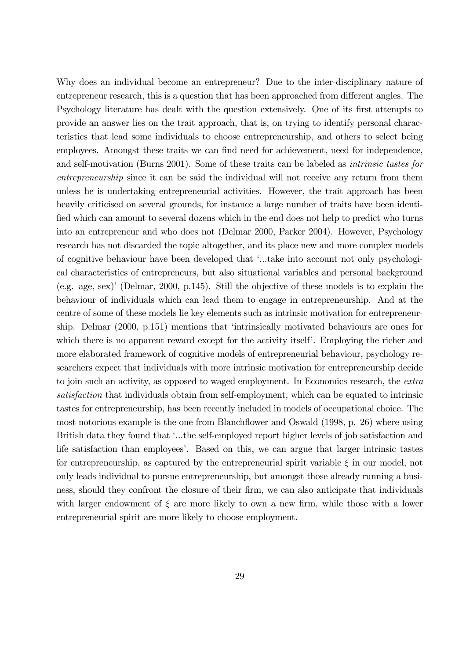Why does an individual become an entrepreneur? Due to the inter-disciplinary nature of entrepreneur research, this is a question that has been approached from different angles. The Psychology literature has dealt with the question extensively. One of its first attempts to provide an answer lies on the trait approach, that is, on trying to identify personal characteristics that lead some individuals to choose entrepreneurship, and others to select being employees. Amongst these traits we can find need for achievement, need for independence, and self-motivation (Burns 2001). Some of these traits can be labeled as *intrinsic tastes for entrepreneurship* since it can be said the individual will not receive any return from them unless he is undertaking entrepreneurial activities. However, the trait approach has been heavily criticised on several grounds, for instance a large number of traits have been identified which can amount to several dozens which in the end does not help to predict who turns into an entrepreneur and who does not (Delmar 2000, Parker 2004). However, Psychology research has not discarded the topic altogether, and its place new and more complex models of cognitive behaviour have been developed that '...take into account not only psychological characteristics of entrepreneurs, but also situational variables and personal background (e.g. age, sex)' (Delmar, 2000, p.145). Still the objective of these models is to explain the behaviour of individuals which can lead them to engage in entrepreneurship. And at the centre of some of these models lie key elements such as intrinsic motivation for entrepreneurship. Delmar  $(2000, p.151)$  mentions that 'intrinsically motivated behaviours are ones for which there is no apparent reward except for the activity itself'. Employing the richer and more elaborated framework of cognitive models of entrepreneurial behaviour, psychology researchers expect that individuals with more intrinsic motivation for entrepreneurship decide to join such an activity, as opposed to waged employment. In Economics research, the extra satisfaction that individuals obtain from self-employment, which can be equated to intrinsic tastes for entrepreneurship, has been recently included in models of occupational choice. The most notorious example is the one from Blanchflower and Oswald (1998, p. 26) where using British data they found that '...the self-employed report higher levels of job satisfaction and life satisfaction than employees'. Based on this, we can argue that larger intrinsic tastes for entrepreneurship, as captured by the entrepreneurial spirit variable  $\xi$  in our model, not only leads individual to pursue entrepreneurship, but amongst those already running a business, should they confront the closure of their firm, we can also anticipate that individuals with larger endowment of  $\xi$  are more likely to own a new firm, while those with a lower entrepreneurial spirit are more likely to choose employment.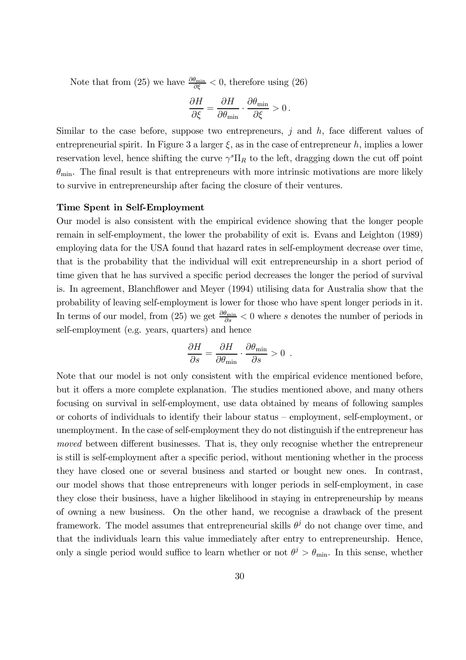Note that from (25) we have  $\frac{\partial \theta_{\min}}{\partial \xi} < 0$ , therefore using (26)

$$
\frac{\partial H}{\partial \xi} = \frac{\partial H}{\partial \theta_{\min}} \cdot \frac{\partial \theta_{\min}}{\partial \xi} > 0.
$$

Similar to the case before, suppose two entrepreneurs,  $j$  and  $h$ , face different values of entrepreneurial spirit. In Figure 3 a larger  $\xi$ , as in the case of entrepreneur h, implies a lower reservation level, hence shifting the curve  $\gamma^s \Pi_R$  to the left, dragging down the cut off point  $\theta_{\min}$ . The final result is that entrepreneurs with more intrinsic motivations are more likely to survive in entrepreneurship after facing the closure of their ventures.

### Time Spent in Self-Employment

Our model is also consistent with the empirical evidence showing that the longer people remain in self-employment, the lower the probability of exit is. Evans and Leighton (1989) employing data for the USA found that hazard rates in self-employment decrease over time, that is the probability that the individual will exit entrepreneurship in a short period of time given that he has survived a specific period decreases the longer the period of survival is. In agreement, Blanchflower and Meyer (1994) utilising data for Australia show that the probability of leaving self-employment is lower for those who have spent longer periods in it. In terms of our model, from (25) we get  $\frac{\partial \theta_{\min}}{\partial s}$  < 0 where s denotes the number of periods in self-employment (e.g. years, quarters) and hence

$$
\frac{\partial H}{\partial s} = \frac{\partial H}{\partial \theta_{\min}} \cdot \frac{\partial \theta_{\min}}{\partial s} > 0.
$$

Note that our model is not only consistent with the empirical evidence mentioned before, but it offers a more complete explanation. The studies mentioned above, and many others focusing on survival in self-employment, use data obtained by means of following samples or cohorts of individuals to identify their labour status – employment, self-employment, or unemployment. In the case of self-employment they do not distinguish if the entrepreneur has moved between different businesses. That is, they only recognise whether the entrepreneur is still is self-employment after a specific period, without mentioning whether in the process they have closed one or several business and started or bought new ones. In contrast, our model shows that those entrepreneurs with longer periods in self-employment, in case they close their business, have a higher likelihood in staying in entrepreneurship by means of owning a new business. On the other hand, we recognise a drawback of the present framework. The model assumes that entrepreneurial skills  $\theta^j$  do not change over time, and that the individuals learn this value immediately after entry to entrepreneurship. Hence, only a single period would suffice to learn whether or not  $\theta^j > \theta_{\min}$ . In this sense, whether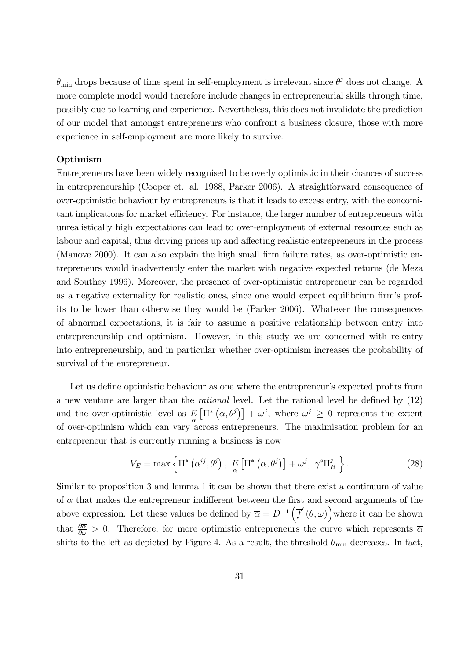$\theta_{\min}$  drops because of time spent in self-employment is irrelevant since  $\theta^j$  does not change. A more complete model would therefore include changes in entrepreneurial skills through time, possibly due to learning and experience. Nevertheless, this does not invalidate the prediction of our model that amongst entrepreneurs who confront a business closure, those with more experience in self-employment are more likely to survive.

### Optimism

Entrepreneurs have been widely recognised to be overly optimistic in their chances of success in entrepreneurship (Cooper et. al. 1988, Parker 2006). A straightforward consequence of over-optimistic behaviour by entrepreneurs is that it leads to excess entry, with the concomitant implications for market efficiency. For instance, the larger number of entrepreneurs with unrealistically high expectations can lead to over-employment of external resources such as labour and capital, thus driving prices up and affecting realistic entrepreneurs in the process (Manove 2000). It can also explain the high small firm failure rates, as over-optimistic entrepreneurs would inadvertently enter the market with negative expected returns (de Meza and Southey 1996). Moreover, the presence of over-optimistic entrepreneur can be regarded as a negative externality for realistic ones, since one would expect equilibrium firm's profits to be lower than otherwise they would be (Parker 2006). Whatever the consequences of abnormal expectations, it is fair to assume a positive relationship between entry into entrepreneurship and optimism. However, in this study we are concerned with re-entry into entrepreneurship, and in particular whether over-optimism increases the probability of survival of the entrepreneur.

Let us define optimistic behaviour as one where the entrepreneur's expected profits from a new venture are larger than the *rational* level. Let the rational level be defined by  $(12)$ and the over-optimistic level as  $E_{\alpha} [\Pi^*(\alpha, \theta^j)] + \omega^j$ , where  $\omega^j \geq 0$  represents the extent of over-optimism which can vary across entrepreneurs. The maximisation problem for an entrepreneur that is currently running a business is now

$$
V_E = \max\left\{\Pi^*\left(\alpha^{ij}, \theta^j\right), \ E\left[\Pi^*\left(\alpha, \theta^j\right)\right] + \omega^j, \ \gamma^s \Pi_R^j\right\}.
$$
 (28)

Similar to proposition 3 and lemma 1 it can be shown that there exist a continuum of value of  $\alpha$  that makes the entrepreneur indifferent between the first and second arguments of the above expression. Let these values be defined by  $\overline{\alpha} = D^{-1}(\overline{f}'(\theta,\omega))$  where it can be shown that  $\frac{\partial \overline{\alpha}}{\partial \omega} > 0$ . Therefore, for more optimistic entrepreneurs the curve which represents  $\overline{\alpha}$ shifts to the left as depicted by Figure 4. As a result, the threshold  $\theta_{\min}$  decreases. In fact,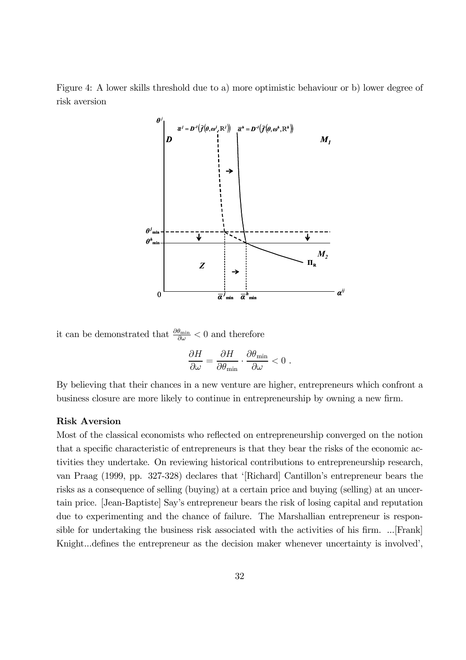Figure 4: A lower skills threshold due to a) more optimistic behaviour or b) lower degree of risk aversion



it can be demonstrated that  $\frac{\partial \theta_{\min}}{\partial \omega} < 0$  and therefore

$$
\frac{\partial H}{\partial \omega} = \frac{\partial H}{\partial \theta_{\min}} \cdot \frac{\partial \theta_{\min}}{\partial \omega} < 0 \; .
$$

By believing that their chances in a new venture are higher, entrepreneurs which confront a business closure are more likely to continue in entrepreneurship by owning a new firm.

### **Risk Aversion**

Most of the classical economists who reflected on entrepreneurship converged on the notion that a specific characteristic of entrepreneurs is that they bear the risks of the economic activities they undertake. On reviewing historical contributions to entrepreneurship research, van Praag (1999, pp. 327-328) declares that '[Richard] Cantillon's entrepreneur bears the risks as a consequence of selling (buying) at a certain price and buying (selling) at an uncertain price. [Jean-Baptiste] Say's entrepreneur bears the risk of losing capital and reputation due to experimenting and the chance of failure. The Marshallian entrepreneur is responsible for undertaking the business risk associated with the activities of his firm. ... [Frank] Knight...defines the entrepreneur as the decision maker whenever uncertainty is involved',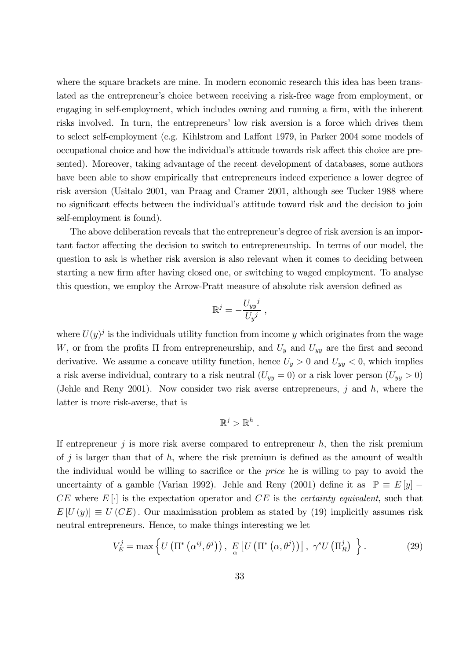where the square brackets are mine. In modern economic research this idea has been translated as the entrepreneur's choice between receiving a risk-free wage from employment, or engaging in self-employment, which includes owning and running a firm, with the inherent risks involved. In turn, the entrepreneurs' low risk aversion is a force which drives them to select self-employment (e.g. Kihlstrom and Laffont 1979, in Parker 2004 some models of occupational choice and how the individual's attitude towards risk affect this choice are presented). Moreover, taking advantage of the recent development of databases, some authors have been able to show empirically that entrepreneurs indeed experience a lower degree of risk aversion (Usitalo 2001, van Praag and Cramer 2001, although see Tucker 1988 where no significant effects between the individual's attitude toward risk and the decision to join self-employment is found).

The above deliberation reveals that the entrepreneur's degree of risk aversion is an important factor affecting the decision to switch to entrepreneurship. In terms of our model, the question to ask is whether risk aversion is also relevant when it comes to deciding between starting a new firm after having closed one, or switching to waged employment. To analyse this question, we employ the Arrow-Pratt measure of absolute risk aversion defined as

$$
\mathbb{R}^j = -\frac{U_{yy}^j}{U_{y}^j} ,
$$

where  $U(y)^{j}$  is the individuals utility function from income y which originates from the wage W, or from the profits  $\Pi$  from entrepreneurship, and  $U_y$  and  $U_{yy}$  are the first and second derivative. We assume a concave utility function, hence  $U_y > 0$  and  $U_{yy} < 0$ , which implies a risk averse individual, contrary to a risk neutral  $(U_{yy} = 0)$  or a risk lover person  $(U_{yy} > 0)$ (Jehle and Reny 2001). Now consider two risk averse entrepreneurs, j and  $h$ , where the latter is more risk-averse, that is

$$
\mathbb{R}^j>\mathbb{R}^h
$$

If entrepreneur  $j$  is more risk averse compared to entrepreneur  $h$ , then the risk premium of j is larger than that of  $h$ , where the risk premium is defined as the amount of wealth the individual would be willing to sacrifice or the *price* he is willing to pay to avoid the uncertainty of a gamble (Varian 1992). Jehle and Reny (2001) define it as  $\mathbb{P} \equiv E[y]$  –  $CE$  where  $E[\cdot]$  is the expectation operator and  $CE$  is the *certainty equivalent*, such that  $E[U(y)] \equiv U(CE)$ . Our maximisation problem as stated by (19) implicitly assumes risk neutral entrepreneurs. Hence, to make things interesting we let

$$
V_E^j = \max \left\{ U\left(\Pi^*\left(\alpha^{ij}, \theta^j\right)\right), \ E\left[U\left(\Pi^*\left(\alpha, \theta^j\right)\right)\right], \ \gamma^s U\left(\Pi_R^j\right) \right.\right\}.
$$
 (29)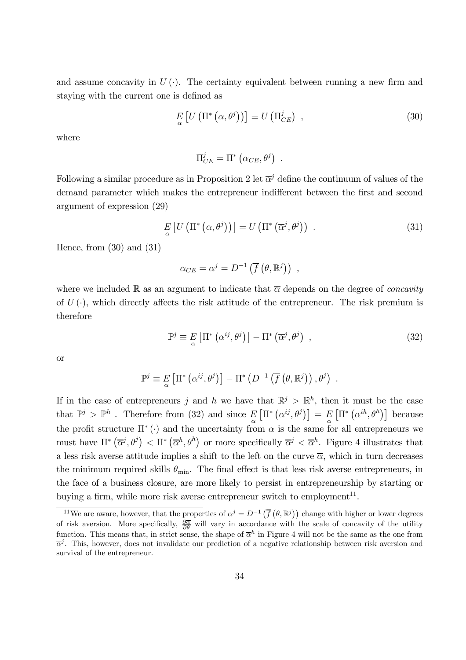and assume concavity in  $U(\cdot)$ . The certainty equivalent between running a new firm and staying with the current one is defined as

$$
E_{\alpha} \left[ U \left( \Pi^* \left( \alpha, \theta^j \right) \right) \right] \equiv U \left( \Pi_{CE}^j \right) , \tag{30}
$$

where

$$
\Pi_{CE}^{\jmath} = \Pi^* \left( \alpha_{CE}, \theta^j \right) \ .
$$

Following a similar procedure as in Proposition 2 let  $\overline{\alpha}^j$  define the continuum of values of the demand parameter which makes the entrepreneur indifferent between the first and second argument of expression (29)

$$
E\left[U\left(\Pi^*\left(\alpha,\theta^j\right)\right)\right] = U\left(\Pi^*\left(\overline{\alpha}^j,\theta^j\right)\right) \ . \tag{31}
$$

Hence, from  $(30)$  and  $(31)$ 

$$
\alpha_{CE} = \overline{\alpha}^j = D^{-1} \left( \overline{f} \left( \theta, \mathbb{R}^j \right) \right) ,
$$

where we included R as an argument to indicate that  $\bar{\alpha}$  depends on the degree of *concavity* of  $U(\cdot)$ , which directly affects the risk attitude of the entrepreneur. The risk premium is therefore

$$
\mathbb{P}^j \equiv E \left[ \Pi^* \left( \alpha^{ij}, \theta^j \right) \right] - \Pi^* \left( \overline{\alpha}^j, \theta^j \right) , \qquad (32)
$$

**or** 

$$
\mathbb{P}^{j} \equiv E \left[ \Pi^* \left( \alpha^{ij}, \theta^j \right) \right] - \Pi^* \left( D^{-1} \left( \overline{f} \left( \theta, \mathbb{R}^j \right) \right), \theta^j \right) .
$$

If in the case of entrepreneurs j and h we have that  $\mathbb{R}^j > \mathbb{R}^h$ , then it must be the case that  $\mathbb{P}^j > \mathbb{P}^h$ . Therefore from (32) and since  $E_{\alpha} [\Pi^* (\alpha^{ij}, \theta^j)] = E_{\alpha} [\Pi^* (\alpha^{ih}, \theta^h)]$  because the profit structure  $\Pi^*$  ( $\cdot$ ) and the uncertainty from  $\alpha$  is the same for all entrepreneurs we must have  $\Pi^*(\overline{\alpha}^j, \theta^j) < \Pi^*(\overline{\alpha}^h, \theta^h)$  or more specifically  $\overline{\alpha}^j < \overline{\alpha}^h$ . Figure 4 illustrates that a less risk averse attitude implies a shift to the left on the curve  $\overline{\alpha}$ , which in turn decreases the minimum required skills  $\theta_{\min}$ . The final effect is that less risk averse entrepreneurs, in the face of a business closure, are more likely to persist in entrepreneurship by starting or buying a firm, while more risk averse entrepreneur switch to employment<sup>11</sup>.

<sup>&</sup>lt;sup>11</sup>We are aware, however, that the properties of  $\overline{\alpha}^j = D^{-1}(\overline{f}(\theta,\mathbb{R}^j))$  change with higher or lower degrees of risk aversion. More specifically,  $\frac{\partial \overline{\alpha}}{\partial \theta}$  will vary in accordance with the scale of concavity of the utility function. This means that, in strict sense, the shape of  $\overline{\alpha}^h$  in Figure 4 will not be the same as the one from  $\overline{\alpha}^j$ . This, however, does not invalidate our prediction of a negative relationship between risk aversion and survival of the entrepreneur.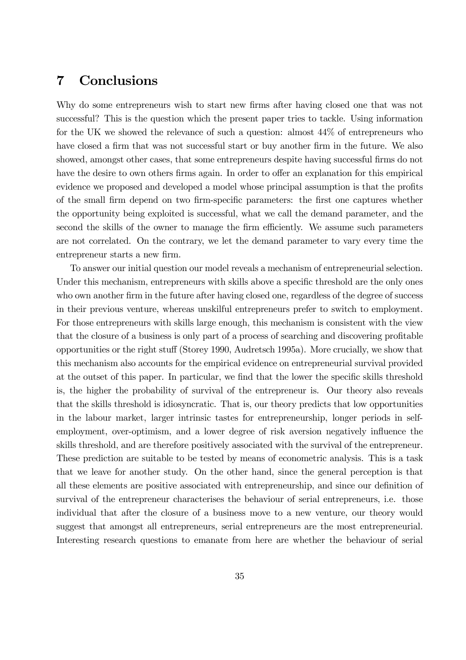#### Conclusions  $\overline{7}$

Why do some entrepreneurs wish to start new firms after having closed one that was not successful? This is the question which the present paper tries to tackle. Using information for the UK we showed the relevance of such a question: almost  $44\%$  of entrepreneurs who have closed a firm that was not successful start or buy another firm in the future. We also showed, amongst other cases, that some entrepreneurs despite having successful firms do not have the desire to own others firms again. In order to offer an explanation for this empirical evidence we proposed and developed a model whose principal assumption is that the profits of the small firm depend on two firm-specific parameters: the first one captures whether the opportunity being exploited is successful, what we call the demand parameter, and the second the skills of the owner to manage the firm efficiently. We assume such parameters are not correlated. On the contrary, we let the demand parameter to vary every time the entrepreneur starts a new firm.

To answer our initial question our model reveals a mechanism of entrepreneurial selection. Under this mechanism, entrepreneurs with skills above a specific threshold are the only ones who own another firm in the future after having closed one, regardless of the degree of success in their previous venture, whereas unskilled entrepreneurs prefer to switch to employment. For those entrepreneurs with skills large enough, this mechanism is consistent with the view that the closure of a business is only part of a process of searching and discovering profitable opportunities or the right stuff (Storey 1990, Audretsch 1995a). More crucially, we show that this mechanism also accounts for the empirical evidence on entrepreneurial survival provided at the outset of this paper. In particular, we find that the lower the specific skills threshold is, the higher the probability of survival of the entrepreneur is. Our theory also reveals that the skills threshold is idiosyncratic. That is, our theory predicts that low opportunities in the labour market, larger intrinsic tastes for entrepreneurship, longer periods in selfemployment, over-optimism, and a lower degree of risk aversion negatively influence the skills threshold, and are therefore positively associated with the survival of the entrepreneur. These prediction are suitable to be tested by means of econometric analysis. This is a task that we leave for another study. On the other hand, since the general perception is that all these elements are positive associated with entrepreneurship, and since our definition of survival of the entrepreneur characterises the behaviour of serial entrepreneurs, i.e. those individual that after the closure of a business move to a new venture, our theory would suggest that amongst all entrepreneurs, serial entrepreneurs are the most entrepreneurial. Interesting research questions to emanate from here are whether the behaviour of serial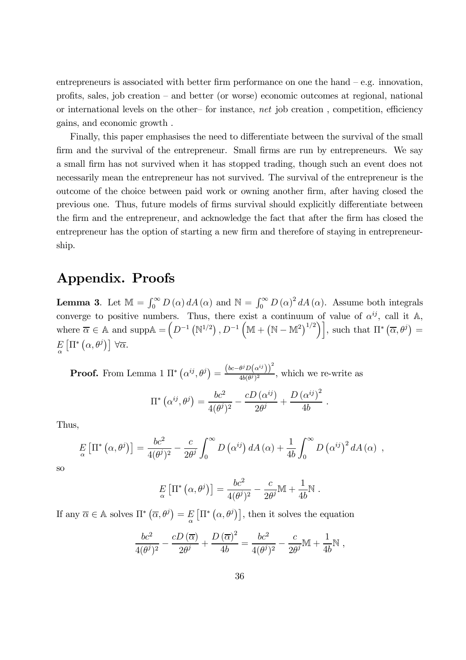entrepreneurs is associated with better firm performance on one the hand  $-e.g.$  innovation, profits, sales, job creation – and better (or worse) economic outcomes at regional, national or international levels on the other-for instance, net job creation, competition, efficiency gains, and economic growth.

Finally, this paper emphasises the need to differentiate between the survival of the small firm and the survival of the entrepreneur. Small firms are run by entrepreneurs. We say a small firm has not survived when it has stopped trading, though such an event does not necessarily mean the entrepreneur has not survived. The survival of the entrepreneur is the outcome of the choice between paid work or owning another firm, after having closed the previous one. Thus, future models of firms survival should explicitly differentiate between the firm and the entrepreneur, and acknowledge the fact that after the firm has closed the entrepreneur has the option of starting a new firm and therefore of staying in entrepreneurship.

# Appendix. Proofs

**Lemma 3.** Let  $\mathbb{M} = \int_0^\infty D(\alpha) dA(\alpha)$  and  $\mathbb{N} = \int_0^\infty D(\alpha)^2 dA(\alpha)$ . Assume both integrals converge to positive numbers. Thus, there exist a continuum of value of  $\alpha^{ij}$ , call it A, where  $\overline{\alpha} \in \mathbb{A}$  and supp $\mathbb{A} = (D^{-1} (\mathbb{N}^{1/2}), D^{-1} (\mathbb{M} + (\mathbb{N} - \mathbb{M}^2)^{1/2})],$  such that  $\Pi^* (\overline{\alpha}, \theta^j) =$  $E\left[\Pi^*\left(\alpha,\theta^j\right)\right]\,\forall\overline{\alpha}.$ 

**Proof.** From Lemma 1  $\Pi^* (\alpha^{ij}, \theta^j) = \frac{(bc - \theta^j D(\alpha^{ij}))^2}{4b(\theta^j)^2}$ , which we re-write as

$$
\Pi^* \left( \alpha^{ij}, \theta^j \right) = \frac{bc^2}{4(\theta^j)^2} - \frac{cD(\alpha^{ij})}{2\theta^j} + \frac{D(\alpha^{ij})^2}{4b}.
$$

Thus,

$$
E_{\alpha} \left[ \Pi^* \left( \alpha, \theta^j \right) \right] = \frac{bc^2}{4(\theta^j)^2} - \frac{c}{2\theta^j} \int_0^\infty D\left( \alpha^{ij} \right) dA\left( \alpha \right) + \frac{1}{4b} \int_0^\infty D\left( \alpha^{ij} \right)^2 dA\left( \alpha \right) ,
$$

<sub>SO</sub>

$$
E_{\alpha} \left[ \Pi^* \left( \alpha, \theta^j \right) \right] = \frac{bc^2}{4(\theta^j)^2} - \frac{c}{2\theta^j} \mathbb{M} + \frac{1}{4b} \mathbb{N}
$$

If any  $\overline{\alpha} \in \mathbb{A}$  solves  $\Pi^* (\overline{\alpha}, \theta^j) = E[\Pi^* (\alpha, \theta^j)],$  then it solves the equation

$$
\frac{bc^2}{4(\theta^j)^2} - \frac{cD(\overline{\alpha})}{2\theta^j} + \frac{D(\overline{\alpha})^2}{4b} = \frac{bc^2}{4(\theta^j)^2} - \frac{c}{2\theta^j}\mathbb{M} + \frac{1}{4b}\mathbb{N} ,
$$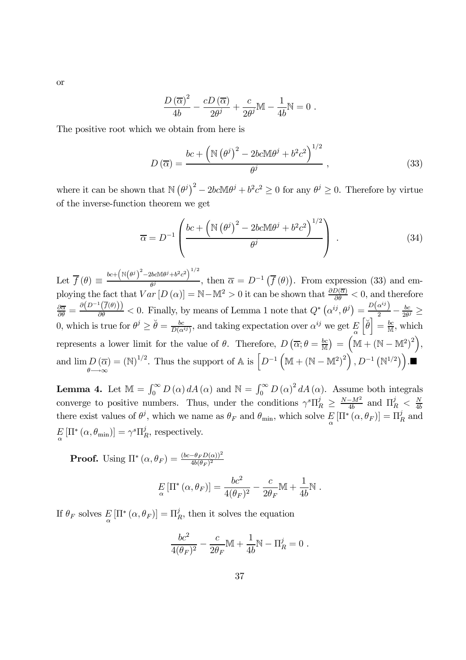**or** 

$$
\frac{D(\overline{\alpha})^2}{4b} - \frac{cD(\overline{\alpha})}{2\theta^j} + \frac{c}{2\theta^j}M - \frac{1}{4b}N = 0.
$$

The positive root which we obtain from here is

$$
D\left(\overline{\alpha}\right) = \frac{bc + \left(\mathbb{N}\left(\theta^j\right)^2 - 2bc\mathbb{M}\theta^j + b^2c^2\right)^{1/2}}{\theta^j},\tag{33}
$$

where it can be shown that  $\mathbb{N}(\theta^j)^2 - 2bc\mathbb{M}\theta^j + b^2c^2 \ge 0$  for any  $\theta^j \ge 0$ . Therefore by virtue of the inverse-function theorem we get

$$
\overline{\alpha} = D^{-1} \left( \frac{bc + \left( \mathbb{N} \left( \theta^j \right)^2 - 2bc \mathbb{M} \theta^j + b^2 c^2 \right)^{1/2}}{\theta^j} \right) . \tag{34}
$$

Let  $\overline{f}(\theta) \equiv \frac{bc + (N(\theta^{j})^{2} - 2bcM\theta^{j} + b^{2}c^{2})^{1/2}}{a^{j}}, \text{ then } \overline{\alpha} = D^{-1}(\overline{f}(\theta)).$  From expression (33) and employing the fact that  $Var[D(\alpha)] = \mathbb{N} - \mathbb{M}^2 > 0$  it can be shown that  $\frac{\partial D(\overline{\alpha})}{\partial \theta} < 0$ , and therefore  $\frac{\partial \overline{\alpha}}{\partial \theta} = \frac{\partial (D^{-1}(\overline{f}(\theta)))}{\partial \theta} < 0.$  Finally, by means of Lemma 1 note that  $Q^* (\alpha^{ij}, \theta^j) = \frac{D(\alpha^{ij})}{2} - \frac{bc}{2\theta^j} \ge$ 0, which is true for  $\theta^j \geq \check{\theta} = \frac{bc}{D(\alpha^{ij})}$ , and taking expectation over  $\alpha^{ij}$  we get  $E\left[\check{\theta}\right] = \frac{bc}{M}$ , which represents a lower limit for the value of  $\theta$ . Therefore,  $D(\overline{\alpha}; \theta = \frac{bc}{M}) = (M + (N - M^2)^2)$ . and  $\lim_{\theta \to \infty} D(\overline{\alpha}) = (\mathbb{N})^{1/2}$ . Thus the support of  $\mathbb{A}$  is  $\left[ D^{-1} \left( \mathbb{M} + (\mathbb{N} - \mathbb{M}^2)^2 \right), D^{-1} \left( \mathbb{N}^{1/2} \right) \right)$ .

**Lemma 4.** Let  $\mathbb{M} = \int_0^\infty D(\alpha) dA(\alpha)$  and  $\mathbb{N} = \int_0^\infty D(\alpha)^2 dA(\alpha)$ . Assume both integrals converge to positive numbers. Thus, under the conditions  $\gamma^s \Pi_R^j \geq \frac{N-M^2}{4b}$  and  $\Pi_R^j < \frac{N}{4b}$ there exist values of  $\theta^j$ , which we name as  $\theta_F$  and  $\theta_{\min}$ , which solve  $E[\Pi^*(\alpha,\theta_F)] = \Pi_R^j$  and  $E\left[\Pi^*\left(\alpha,\theta_{\min}\right)\right]=\gamma^s\Pi_R^j$ , respectively.

**Proof.** Using  $\Pi^*(\alpha, \theta_F) = \frac{(bc - \theta_F D(\alpha))^2}{4b(\theta_F)^2}$ 

$$
E_{\alpha} \left[ \Pi^* \left( \alpha, \theta_F \right) \right] = \frac{bc^2}{4(\theta_F)^2} - \frac{c}{2\theta_F} \mathbb{M} + \frac{1}{4b} \mathbb{N}.
$$

If  $\theta_F$  solves  $E[\Pi^*(\alpha, \theta_F)] = \Pi_R^j$ , then it solves the equation

$$
\frac{bc^2}{4(\theta_F)^2} - \frac{c}{2\theta_F} \mathbb{M} + \frac{1}{4b} \mathbb{N} - \Pi_R^j = 0.
$$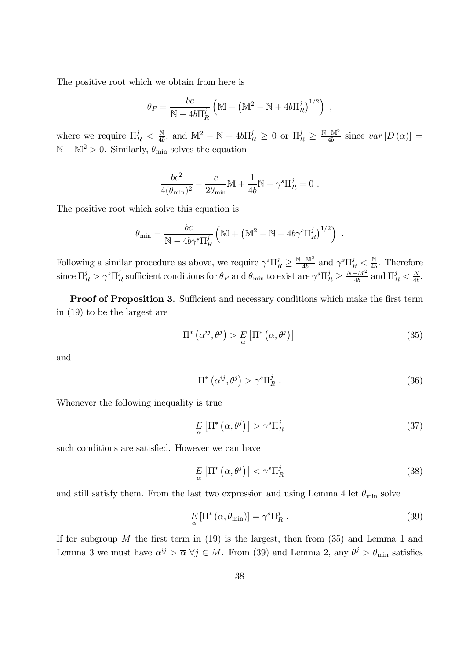The positive root which we obtain from here is

$$
\theta_F = \frac{bc}{\mathbb{N} - 4b\Pi_R^j} \left( \mathbb{M} + \left( \mathbb{M}^2 - \mathbb{N} + 4b\Pi_R^j \right)^{1/2} \right)
$$

where we require  $\Pi_R^j < \frac{N}{4b}$ , and  $\mathbb{M}^2 - \mathbb{N} + 4b\Pi_R^j \geq 0$  or  $\Pi_R^j \geq \frac{N-M^2}{4b}$  since  $var[D(\alpha)] =$  $\mathbb{N}-\mathbb{M}^2>0.$  Similarly,  $\theta_{\min}$  solves the equation

$$
\frac{bc^2}{4(\theta_{\min})^2} - \frac{c}{2\theta_{\min}} \mathbb{M} + \frac{1}{4b} \mathbb{N} - \gamma^s \Pi_R^j = 0
$$

The positive root which solve this equation is

$$
\theta_{\min} = \frac{bc}{\mathbb{N} - 4b\gamma^s \Pi_R^j} \left( \mathbb{M} + \left( \mathbb{M}^2 - \mathbb{N} + 4b\gamma^s \Pi_R^j \right)^{1/2} \right)
$$

Following a similar procedure as above, we require  $\gamma^s \Pi_R^j \geq \frac{N-M^2}{4b}$  and  $\gamma^s \Pi_R^j < \frac{N}{4b}$ . Therefore since  $\Pi_R^j > \gamma^s \Pi_R^j$  sufficient conditions for  $\theta_F$  and  $\theta_{\min}$  to exist are  $\gamma^s \Pi_R^j \geq \frac{N-M^2}{4b}$  and  $\Pi_R^j < \frac{N}{4b}$ .

**Proof of Proposition 3.** Sufficient and necessary conditions which make the first term in  $(19)$  to be the largest are

$$
\Pi^* \left( \alpha^{ij}, \theta^j \right) > E \left[ \Pi^* \left( \alpha, \theta^j \right) \right] \tag{35}
$$

and

$$
\Pi^* \left( \alpha^{ij}, \theta^j \right) > \gamma^s \Pi_R^j \tag{36}
$$

Whenever the following inequality is true

$$
E\left[\Pi^*\left(\alpha,\theta^j\right)\right] > \gamma^s \Pi_R^j \tag{37}
$$

such conditions are satisfied. However we can have

$$
E_{\alpha} \left[ \Pi^* \left( \alpha, \theta^j \right) \right] < \gamma^s \Pi_R^j \tag{38}
$$

and still satisfy them. From the last two expression and using Lemma 4 let  $\theta_{\min}$  solve

$$
E_{\alpha} \left[ \Pi^* \left( \alpha, \theta_{\min} \right) \right] = \gamma^s \Pi_R^j \,. \tag{39}
$$

If for subgroup  $M$  the first term in (19) is the largest, then from (35) and Lemma 1 and Lemma 3 we must have  $\alpha^{ij} > \overline{\alpha} \ \forall j \in M$ . From (39) and Lemma 2, any  $\theta^j > \theta_{\min}$  satisfies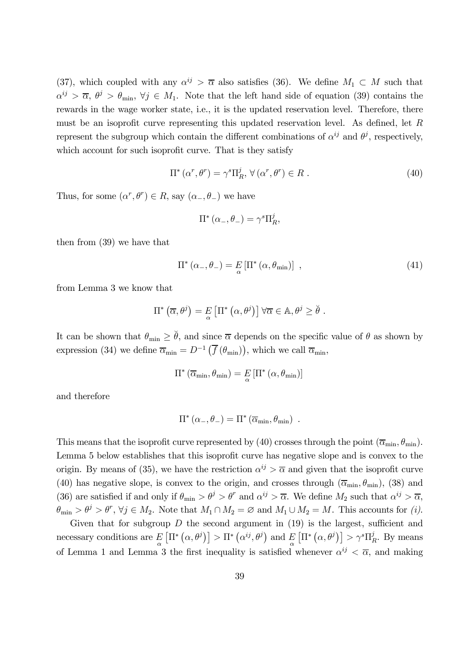(37), which coupled with any  $\alpha^{ij} > \overline{\alpha}$  also satisfies (36). We define  $M_1 \subset M$  such that  $\alpha^{ij} > \overline{\alpha}, \ \theta^j > \theta_{\min}, \ \forall j \in M_1.$  Note that the left hand side of equation (39) contains the rewards in the wage worker state, i.e., it is the updated reservation level. Therefore, there must be an isoprofit curve representing this updated reservation level. As defined, let  $R$ represent the subgroup which contain the different combinations of  $\alpha^{ij}$  and  $\theta^j$ , respectively, which account for such isoprofit curve. That is they satisfy

$$
\Pi^* (\alpha^r, \theta^r) = \gamma^s \Pi_R^j, \ \forall (\alpha^r, \theta^r) \in R \ . \tag{40}
$$

Thus, for some  $(\alpha^r, \theta^r) \in R$ , say  $(\alpha_-, \theta_-)$  we have

$$
\Pi^* (\alpha_-, \theta_-) = \gamma^s \Pi_R^j,
$$

then from  $(39)$  we have that

$$
\Pi^* \left( \alpha_-, \theta_- \right) = E \left[ \Pi^* \left( \alpha, \theta_{\min} \right) \right] \tag{41}
$$

from Lemma 3 we know that

$$
\Pi^* \left( \overline{\alpha}, \theta^j \right) = E \left[ \Pi^* \left( \alpha, \theta^j \right) \right] \forall \overline{\alpha} \in \mathbb{A}, \theta^j \ge \breve{\theta} .
$$

It can be shown that  $\theta_{\min} \geq \check{\theta}$ , and since  $\overline{\alpha}$  depends on the specific value of  $\theta$  as shown by expression (34) we define  $\overline{\alpha}_{\min} = D^{-1}(\overline{f}(\theta_{\min}))$ , which we call  $\overline{\alpha}_{\min}$ ,

$$
\Pi^* \left( \overline{\alpha}_{\min}, \theta_{\min} \right) = E \left[ \Pi^* \left( \alpha, \theta_{\min} \right) \right]
$$

and therefore

$$
\Pi^* (\alpha_-, \theta_-) = \Pi^* (\overline{\alpha}_{\min}, \theta_{\min}) .
$$

This means that the isoprofit curve represented by (40) crosses through the point  $(\overline{\alpha}_{min}, \theta_{min})$ . Lemma 5 below establishes that this isoprofit curve has negative slope and is convex to the origin. By means of (35), we have the restriction  $\alpha^{ij} > \overline{\alpha}$  and given that the isoprofit curve (40) has negative slope, is convex to the origin, and crosses through  $(\overline{\alpha}_{min}, \theta_{min})$ , (38) and (36) are satisfied if and only if  $\theta_{\min} > \theta^j > \theta^r$  and  $\alpha^{ij} > \overline{\alpha}$ . We define  $M_2$  such that  $\alpha^{ij} > \overline{\alpha}$ ,  $\theta_{\min} > \theta^j > \theta^r$ ,  $\forall j \in M_2$ . Note that  $M_1 \cap M_2 = \emptyset$  and  $M_1 \cup M_2 = M$ . This accounts for (i).

Given that for subgroup  $D$  the second argument in (19) is the largest, sufficient and necessary conditions are  $E[\Pi^*(\alpha, \theta^j)] > \Pi^*(\alpha^{ij}, \theta^j)$  and  $E[\Pi^*(\alpha, \theta^j)] > \gamma^s \Pi_R^j$ . By means of Lemma 1 and Lemma 3 the first inequality is satisfied whenever  $\alpha^{ij} < \overline{\alpha}$ , and making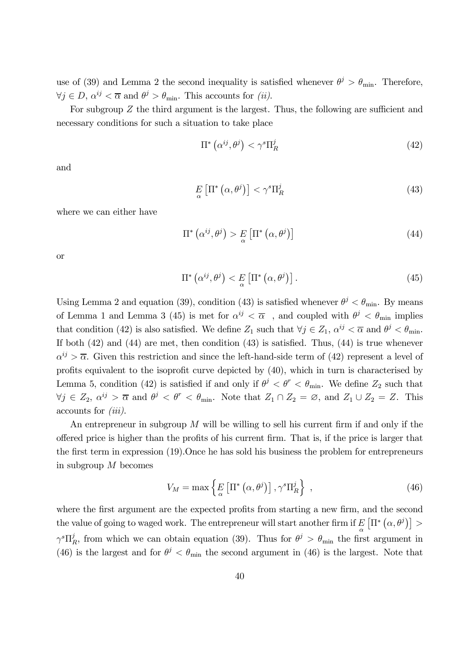use of (39) and Lemma 2 the second inequality is satisfied whenever  $\theta^j > \theta_{\min}$ . Therefore,  $\forall j \in D, \, \alpha^{ij} < \overline{\alpha} \text{ and } \theta^j > \theta_{\min}$ . This accounts for *(ii)*.

For subgroup  $Z$  the third argument is the largest. Thus, the following are sufficient and necessary conditions for such a situation to take place

$$
\Pi^* \left( \alpha^{ij}, \theta^j \right) < \gamma^s \Pi_R^j \tag{42}
$$

and

$$
E_{\alpha} \left[ \Pi^* \left( \alpha, \theta^j \right) \right] < \gamma^s \Pi_R^j \tag{43}
$$

where we can either have

$$
\Pi^* \left( \alpha^{ij}, \theta^j \right) > E \left[ \Pi^* \left( \alpha, \theta^j \right) \right] \tag{44}
$$

**or** 

$$
\Pi^* \left( \alpha^{ij}, \theta^j \right) < E \left[ \Pi^* \left( \alpha, \theta^j \right) \right]. \tag{45}
$$

Using Lemma 2 and equation (39), condition (43) is satisfied whenever  $\theta^j < \theta_{\min}$ . By means of Lemma 1 and Lemma 3 (45) is met for  $\alpha^{ij} < \overline{\alpha}$ , and coupled with  $\theta^j < \theta_{\min}$  implies that condition (42) is also satisfied. We define  $Z_1$  such that  $\forall j \in Z_1$ ,  $\alpha^{ij} < \overline{\alpha}$  and  $\theta^j < \theta_{\min}$ . If both  $(42)$  and  $(44)$  are met, then condition  $(43)$  is satisfied. Thus,  $(44)$  is true whenever  $\alpha^{ij} > \overline{\alpha}$ . Given this restriction and since the left-hand-side term of (42) represent a level of profits equivalent to the isoprofit curve depicted by  $(40)$ , which in turn is characterised by Lemma 5, condition (42) is satisfied if and only if  $\theta^j < \theta^r < \theta_{\min}$ . We define  $Z_2$  such that  $\forall j \in Z_2$ ,  $\alpha^{ij} > \overline{\alpha}$  and  $\theta^j < \theta^r < \theta_{\min}$ . Note that  $Z_1 \cap Z_2 = \emptyset$ , and  $Z_1 \cup Z_2 = Z$ . This  $\alpha$ counts for *(iii)*.

An entrepreneur in subgroup  $M$  will be willing to sell his current firm if and only if the offered price is higher than the profits of his current firm. That is, if the price is larger that the first term in expression (19). Once he has sold his business the problem for entrepreneurs in subgroup  $M$  becomes

$$
V_M = \max\left\{ E\left[\Pi^*\left(\alpha, \theta^j\right)\right], \gamma^s \Pi_R^j \right\} \,,\tag{46}
$$

where the first argument are the expected profits from starting a new firm, and the second the value of going to waged work. The entrepreneur will start another firm if  $E\left[\Pi^*\left(\alpha,\theta^j\right)\right] >$  $\gamma^s \Pi_R^j$ , from which we can obtain equation (39). Thus for  $\theta^j > \theta_{\min}$  the first argument in (46) is the largest and for  $\theta^j < \theta_{\min}$  the second argument in (46) is the largest. Note that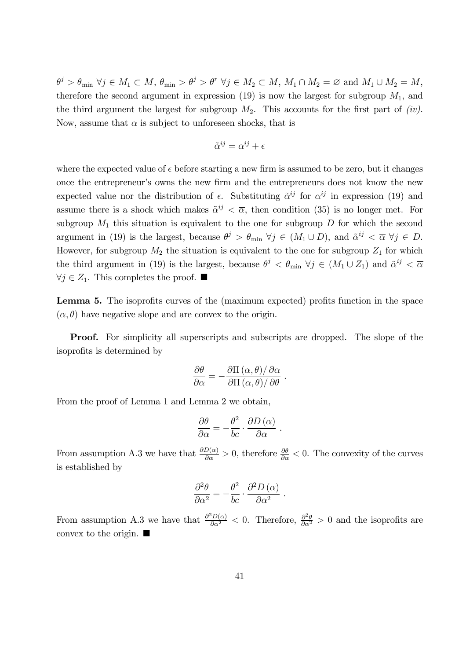$\theta^j > \theta_{\min} \ \forall j \in M_1 \subset M, \ \theta_{\min} > \theta^j > \theta^r \ \forall j \in M_2 \subset M, \ M_1 \cap M_2 = \varnothing \ \text{and} \ M_1 \cup M_2 = M,$ therefore the second argument in expression (19) is now the largest for subgroup  $M_1$ , and the third argument the largest for subgroup  $M_2$ . This accounts for the first part of *(iv)*. Now, assume that  $\alpha$  is subject to unforeseen shocks, that is

$$
\tilde{\alpha}^{ij} = \alpha^{ij} + \epsilon
$$

where the expected value of  $\epsilon$  before starting a new firm is assumed to be zero, but it changes once the entrepreneur's owns the new firm and the entrepreneurs does not know the new expected value nor the distribution of  $\epsilon$ . Substituting  $\tilde{\alpha}^{ij}$  for  $\alpha^{ij}$  in expression (19) and assume there is a shock which makes  $\tilde{\alpha}^{ij} < \overline{\alpha}$ , then condition (35) is no longer met. For subgroup  $M_1$  this situation is equivalent to the one for subgroup D for which the second argument in (19) is the largest, because  $\theta^j > \theta_{\min} \ \forall j \in (M_1 \cup D)$ , and  $\tilde{\alpha}^{ij} < \overline{\alpha} \ \forall j \in D$ . However, for subgroup  $M_2$  the situation is equivalent to the one for subgroup  $Z_1$  for which the third argument in (19) is the largest, because  $\theta^j < \theta_{\min}$   $\forall j \in (M_1 \cup Z_1)$  and  $\tilde{\alpha}^{ij} < \overline{\alpha}$  $\forall j \in Z_1$ . This completes the proof.  $\blacksquare$ 

**Lemma 5.** The isoprofits curves of the (maximum expected) profits function in the space  $(\alpha, \theta)$  have negative slope and are convex to the origin.

**Proof.** For simplicity all superscripts and subscripts are dropped. The slope of the isoprofits is determined by

$$
\frac{\partial \theta}{\partial \alpha} = -\frac{\partial \Pi(\alpha, \theta)/\partial \alpha}{\partial \Pi(\alpha, \theta)/\partial \theta}
$$

From the proof of Lemma 1 and Lemma 2 we obtain,

$$
\frac{\partial \theta}{\partial \alpha} = -\frac{\theta^2}{bc} \cdot \frac{\partial D(\alpha)}{\partial \alpha}
$$

From assumption A.3 we have that  $\frac{\partial D(\alpha)}{\partial \alpha} > 0$ , therefore  $\frac{\partial \theta}{\partial \alpha} < 0$ . The convexity of the curves is established by

$$
\frac{\partial^2 \theta}{\partial \alpha^2} = -\frac{\theta^2}{bc} \cdot \frac{\partial^2 D(\alpha)}{\partial \alpha^2}
$$

From assumption A.3 we have that  $\frac{\partial^2 D(\alpha)}{\partial \alpha^2} < 0$ . Therefore,  $\frac{\partial^2 \theta}{\partial \alpha^2} > 0$  and the isoprofits are convex to the origin.  $\blacksquare$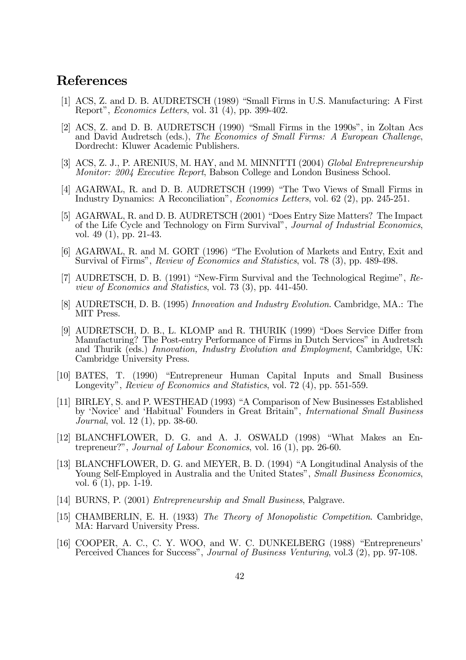## References

- [1] ACS, Z. and D. B. AUDRETSCH (1989) "Small Firms in U.S. Manufacturing: A First Report", *Economics Letters*, vol. 31 (4), pp. 399-402.
- [2] ACS, Z. and D. B. AUDRETSCH (1990) "Small Firms in the 1990s", in Zoltan Acs and David Audretsch (eds.), The Economics of Small Firms: A European Challenge, Dordrecht: Kluwer Academic Publishers.
- [3] ACS, Z. J., P. ARENIUS, M. HAY, and M. MINNITTI (2004) Global Entrepreneurship Monitor: 2004 Executive Report, Babson College and London Business School.
- [4] AGARWAL, R. and D. B. AUDRETSCH (1999) "The Two Views of Small Firms in Industry Dynamics: A Reconciliation", *Economics Letters*, vol. 62 (2), pp. 245-251.
- [5] AGARWAL, R. and D. B. AUDRETSCH (2001) "Does Entry Size Matters? The Impact of the Life Cycle and Technology on Firm Survival", Journal of Industrial Economics, vol. 49 $(1)$ , pp. 21-43.
- [6] AGARWAL, R. and M. GORT (1996) "The Evolution of Markets and Entry, Exit and Survival of Firms", Review of Economics and Statistics, vol. 78 (3), pp. 489-498.
- [7] AUDRETSCH, D. B. (1991) "New-Firm Survival and the Technological Regime", Re*view of Economics and Statistics, vol.* 73 (3), pp. 441-450.
- [8] AUDRETSCH, D. B. (1995) Innovation and Industry Evolution. Cambridge, MA.: The MIT Press.
- [9] AUDRETSCH, D. B., L. KLOMP and R. THURIK (1999) "Does Service Differ from Manufacturing? The Post-entry Performance of Firms in Dutch Services" in Audretsch and Thurik (eds.) Innovation, Industry Evolution and Employment, Cambridge, UK: Cambridge University Press.
- [10] BATES, T. (1990) "Entrepreneur Human Capital Inputs and Small Business Longevity", Review of Economics and Statistics, vol. 72 (4), pp. 551-559.
- [11] BIRLEY, S. and P. WESTHEAD (1993) "A Comparison of New Businesses Established by 'Novice' and 'Habitual' Founders in Great Britain'', International Small Business *Journal*, vol. 12 (1), pp. 38-60.
- [12] BLANCHFLOWER, D. G. and A. J. OSWALD (1998) "What Makes an Entrepreneur?", Journal of Labour Economics, vol. 16  $(1)$ , pp. 26-60.
- [13] BLANCHFLOWER, D. G. and MEYER, B. D. (1994) "A Longitudinal Analysis of the Young Self-Employed in Australia and the United States", Small Business Economics, vol.  $6(1)$ , pp. 1-19.
- [14] BURNS, P. (2001) *Entrepreneurship and Small Business*, Palgrave.
- [15] CHAMBERLIN, E. H. (1933) The Theory of Monopolistic Competition. Cambridge, MA: Harvard University Press.
- [16] COOPER, A. C., C. Y. WOO, and W. C. DUNKELBERG (1988) "Entrepreneurs" Perceived Chances for Success", Journal of Business Venturing, vol. 3 (2), pp. 97-108.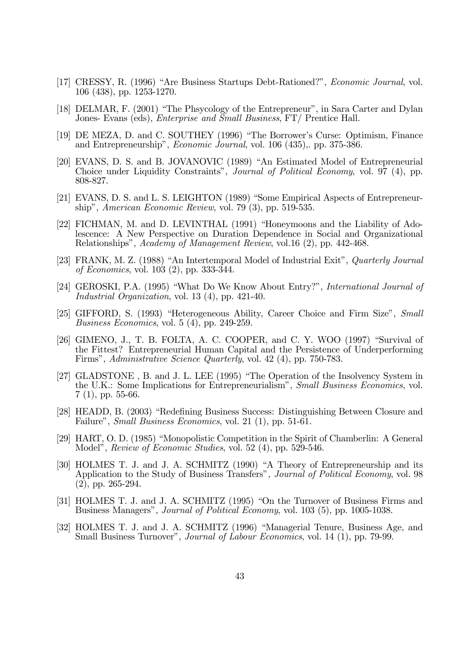- [17] CRESSY, R. (1996) "Are Business Startups Debt-Rationed?", *Economic Journal*, vol.  $106$  (438), pp. 1253-1270.
- [18] DELMAR, F. (2001) "The Phsycology of the Entrepreneur", in Sara Carter and Dylan Jones- Evans (eds), *Enterprise and Small Business*, FT/ Prentice Hall.
- [19] DE MEZA, D. and C. SOUTHEY (1996) "The Borrower's Curse: Optimism, Finance and Entrepreneurship", *Economic Journal*, vol. 106 (435), pp. 375-386.
- [20] EVANS, D. S. and B. JOVANOVIC (1989) "An Estimated Model of Entrepreneurial Choice under Liquidity Constraints", *Journal of Political Economy*, vol. 97 (4), pp. 808-827.
- [21] EVANS, D. S. and L. S. LEIGHTON (1989) "Some Empirical Aspects of Entrepreneurship", American Economic Review, vol. 79  $(3)$ , pp. 519-535.
- [22] FICHMAN, M. and D. LEVINTHAL (1991) "Honeymoons and the Liability of Adolescence: A New Perspective on Duration Dependence in Social and Organizational Relationships", Academy of Management Review, vol.16 (2), pp. 442-468.
- [23] FRANK, M. Z. (1988) "An Intertemporal Model of Industrial Exit", Quarterly Journal of Economics, vol. 103 (2), pp. 333-344.
- [24] GEROSKI, P.A. (1995) "What Do We Know About Entry?", International Journal of *Industrial Organization, vol.* 13 (4), pp. 421-40.
- [25] GIFFORD, S. (1993) "Heterogeneous Ability, Career Choice and Firm Size", Small *Business Economics*, vol. 5 (4), pp. 249-259.
- [26] GIMENO, J., T. B. FOLTA, A. C. COOPER, and C. Y. WOO  $(1997)$  "Survival of the Fittest? Entrepreneurial Human Capital and the Persistence of Underperforming Firms", Administrative Science Quarterly, vol. 42 (4), pp. 750-783.
- [27] GLADSTONE, B. and J. L. LEE (1995) "The Operation of the Insolvency System in the U.K.: Some Implications for Entrepreneurialism", Small Business Economics, vol.  $7(1)$ , pp. 55-66.
- [28] HEADD, B. (2003) "Redefining Business Success: Distinguishing Between Closure and Failure", *Small Business Economics*, vol. 21 (1), pp. 51-61.
- [29] HART, O.D. (1985) "Monopolistic Competition in the Spirit of Chamberlin: A General Model", *Review of Economic Studies*, vol. 52 (4), pp. 529-546.
- [30] HOLMES T. J. and J. A. SCHMITZ (1990) "A Theory of Entrepreneurship and its Application to the Study of Business Transfers", Journal of Political Economy, vol. 98  $(2)$ , pp. 265-294.
- [31] HOLMES T. J. and J. A. SCHMITZ (1995) "On the Turnover of Business Firms and Business Managers", *Journal of Political Economy*, vol. 103 (5), pp. 1005-1038.
- [32] HOLMES T. J. and J. A. SCHMITZ (1996) "Managerial Tenure, Business Age, and Small Business Turnover", *Journal of Labour Economics*, vol. 14 (1), pp. 79-99.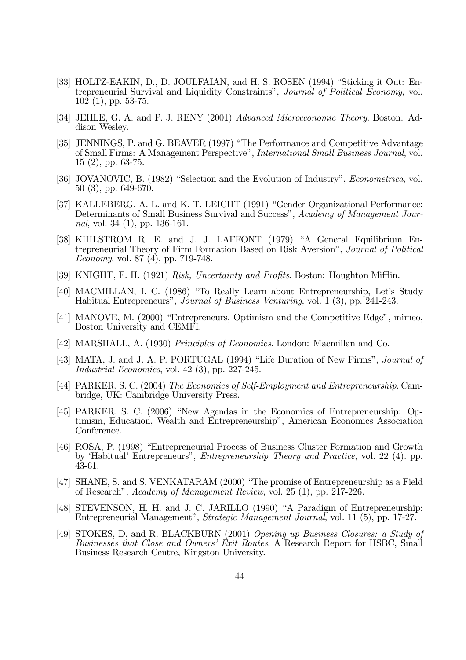- [33] HOLTZ-EAKIN, D., D. JOULFAIAN, and H. S. ROSEN (1994) "Sticking it Out: Entrepreneurial Survival and Liquidity Constraints", Journal of Political Economy, vol.  $102(1)$ , pp. 53-75.
- [34] JEHLE, G. A. and P. J. RENY (2001) Advanced Microeconomic Theory. Boston: Addison Wesley.
- [35] JENNINGS, P. and G. BEAVER (1997) "The Performance and Competitive Advantage of Small Firms: A Management Perspective", International Small Business Journal, vol.  $15(2)$ , pp. 63-75.
- [36] JOVANOVIC, B. (1982) "Selection and the Evolution of Industry", *Econometrica*, vol.  $50(3)$ , pp. 649-670.
- [37] KALLEBERG, A. L. and K. T. LEICHT (1991) "Gender Organizational Performance: Determinants of Small Business Survival and Success", Academy of Management Journal, vol. 34 $(1)$ , pp. 136-161.
- [38] KIHLSTROM R. E. and J. J. LAFFONT (1979) "A General Equilibrium Entrepreneurial Theory of Firm Formation Based on Risk Aversion", Journal of Political *Economy*, vol. 87 (4), pp. 719-748.
- [39] KNIGHT, F. H. (1921) Risk, Uncertainty and Profits. Boston: Houghton Mifflin.
- [40] MACMILLAN, I. C. (1986) "To Really Learn about Entrepreneurship, Let's Study Habitual Entrepreneurs", *Journal of Business Venturing*, vol. 1 (3), pp. 241-243.
- [41] MANOVE, M. (2000) "Entrepreneurs, Optimism and the Competitive Edge", mimeo, Boston University and CEMFI.
- [42] MARSHALL, A. (1930) Principles of Economics. London: Macmillan and Co.
- [43] MATA, J. and J. A. P. PORTUGAL (1994) "Life Duration of New Firms", Journal of Industrial Economics, vol. 42 $(3)$ , pp. 227-245.
- [44] PARKER, S. C. (2004) The Economics of Self-Employment and Entrepreneurship. Cambridge, UK: Cambridge University Press.
- [45] PARKER, S. C. (2006) "New Agendas in the Economics of Entrepreneurship: Optimism, Education, Wealth and Entrepreneurship", American Economics Association Conference.
- [46] ROSA, P. (1998) "Entrepreneurial Process of Business Cluster Formation and Growth by 'Habitual' Entrepreneurs", *Entrepreneurship Theory and Practice*, vol. 22 (4). pp. 43-61.
- [47] SHANE, S. and S. VENKATARAM (2000) "The promise of Entrepreneurship as a Field of Research", Academy of Management Review, vol. 25 (1), pp. 217-226.
- [48] STEVENSON, H. H. and J. C. JARILLO (1990) "A Paradigm of Entrepreneurship: Entrepreneurial Management", Strategic Management Journal, vol. 11 (5), pp. 17-27.
- [49] STOKES, D. and R. BLACKBURN (2001) Opening up Business Closures: a Study of Businesses that Close and Owners' Exit Routes. A Research Report for HSBC, Small Business Research Centre, Kingston University.